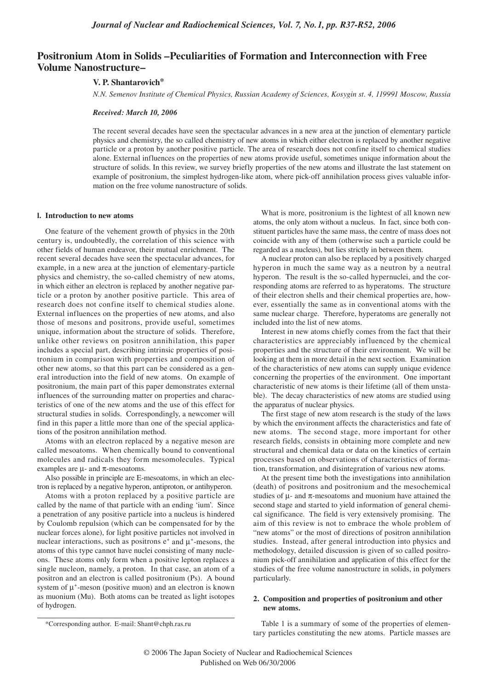# **Positronium Atom in Solids –Peculiarities of Formation and Interconnection with Free Volume Nanostructure–**

## **V. P. Shantarovich\***

*N.N. Semenov Institute of Chemical Physics, Russian Academy of Sciences, Kosygin st. 4, 119991 Moscow, Russia*

### *Received: March 10, 2006*

The recent several decades have seen the spectacular advances in a new area at the junction of elementary particle physics and chemistry, the so called chemistry of new atoms in which either electron is replaced by another negative particle or a proton by another positive particle. The area of research does not confine itself to chemical studies alone. External influences on the properties of new atoms provide useful, sometimes unique information about the structure of solids. In this review, we survey briefly properties of the new atoms and illustrate the last statement on example of positronium, the simplest hydrogen-like atom, where pick-off annihilation process gives valuable information on the free volume nanostructure of solids.

#### **l. Introduction to new atoms**

One feature of the vehement growth of physics in the 20th century is, undoubtedly, the correlation of this science with other fields of human endeavor, their mutual enrichment. The recent several decades have seen the spectacular advances, for example, in a new area at the junction of elementary-particle physics and chemistry, the so-called chemistry of new atoms, in which either an electron is replaced by another negative particle or a proton by another positive particle. This area of research does not confine itself to chemical studies alone. External influences on the properties of new atoms, and also those of mesons and positrons, provide useful, sometimes unique, information about the structure of solids. Therefore, unlike other reviews on positron annihilation, this paper includes a special part, describing intrinsic properties of positronium in comparison with properties and composition of other new atoms, so that this part can be considered as a general introduction into the field of new atoms. On example of positronium, the main part of this paper demonstrates external influences of the surrounding matter on properties and characteristics of one of the new atoms and the use of this effect for structural studies in solids. Correspondingly, a newcomer will find in this paper a little more than one of the special applications of the positron annihilation method.

Atoms with an electron replaced by a negative meson are called mesoatoms. When chemically bound to conventional molecules and radicals they form mesomolecules. Typical examples are  $\mu$ - and  $\pi$ -mesoatoms.

Also possible in principle are E-mesoatoms, in which an electron is replaced by a negative hyperon, antiproton, or antihyperon.

Atoms with a proton replaced by a positive particle are called by the name of that particle with an ending 'ium'. Since a penetration of any positive particle into a nucleus is hindered by Coulomb repulsion (which can be compensated for by the nuclear forces alone), for light positive particles not involved in nuclear interactions, such as positrons  $e^+$  and  $\mu^+$ -mesons, the atoms of this type cannot have nuclei consisting of many nucleons. These atoms only form when a positive lepton replaces a single nucleon, namely, a proton. In that case, an atom of a positron and an electron is called positronium (Ps). A bound system of  $\mu^+$ -meson (positive muon) and an electron is known as muonium (Mu). Both atoms can be treated as light isotopes of hydrogen.

What is more, positronium is the lightest of all known new atoms, the only atom without a nucleus. In fact, since both constituent particles have the same mass, the centre of mass does not coincide with any of them (otherwise such a particle could be regarded as a nucleus), but lies strictly in between them.

A nuclear proton can also be replaced by a positively charged hyperon in much the same way as a neutron by a neutral hyperon. The result is the so-called hypernuclei, and the corresponding atoms are referred to as hyperatoms. The structure of their electron shells and their chemical properties are, however, essentially the same as in conventional atoms with the same nuclear charge. Therefore, hyperatoms are generally not included into the list of new atoms.

Interest in new atoms chiefly comes from the fact that their characteristics are appreciably influenced by the chemical properties and the structure of their environment. We will be looking at them in more detail in the next section. Examination of the characteristics of new atoms can supply unique evidence concerning the properties of the environment. One important characteristic of new atoms is their lifetime (all of them unstable). The decay characteristics of new atoms are studied using the apparatus of nuclear physics.

The first stage of new atom research is the study of the laws by which the environment affects the characteristics and fate of new atoms. The second stage, more important for other research fields, consists in obtaining more complete and new structural and chemical data or data on the kinetics of certain processes based on observations of characteristics of formation, transformation, and disintegration of various new atoms.

At the present time both the investigations into annihilation (death) of positrons and positronium and the mesochemical studies of  $\mu$ - and  $\pi$ -mesoatoms and muonium have attained the second stage and started to yield information of general chemical significance. The field is very extensively promising. The aim of this review is not to embrace the whole problem of "new atoms" or the most of directions of positron annihilation studies. Instead, after general introduction into physics and methodology, detailed discussion is given of so called positronium pick-off annihilation and application of this effect for the studies of the free volume nanostructure in solids, in polymers particularly.

### **2. Composition and properties of positronium and other new atoms.**

Table 1 is a summary of some of the properties of elementary particles constituting the new atoms. Particle masses are

<sup>\*</sup>Corresponding author. E-mail: Shant@chph.ras.ru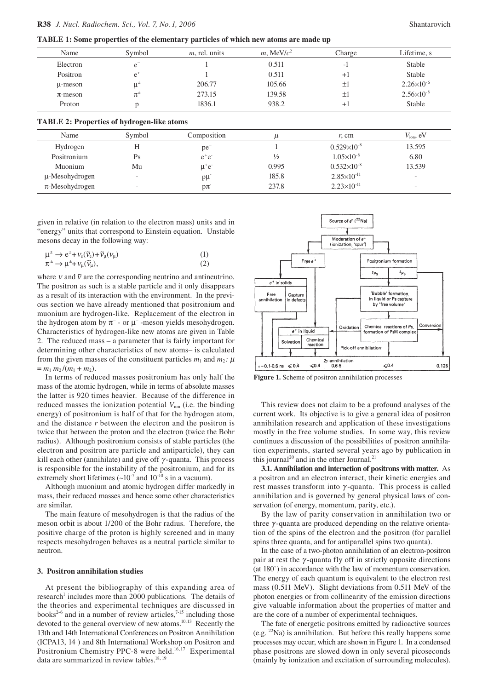**TABLE 1: Some properties of the elementary particles of which new atoms are made up**

| Name         | Symbol                          | $m$ , rel. units | $m$ , MeV/ $c^2$ | Charge  | Lifetime, s           |
|--------------|---------------------------------|------------------|------------------|---------|-----------------------|
| Electron     | e                               |                  | 0.511            | -1      | <b>Stable</b>         |
| Positron     | $e^*$                           |                  | 0.511            | $+1$    | Stable                |
| u-meson      | $\mathfrak{u}^{\pm}$            | 206.77           | 105.66           | $\pm 1$ | $2.26 \times 10^{-6}$ |
| $\pi$ -meson | $\pi^{\scriptscriptstyle{\pm}}$ | 273.15           | 139.58           | $\pm 1$ | $2.56 \times 10^{-8}$ |
| Proton       |                                 | 1836.1           | 938.2            | $+1$    | Stable                |
|              |                                 |                  |                  |         |                       |

| Name                | Symbol                   | Composition |               | r, cm                  | $V_{\text{ion}}$ , eV    |
|---------------------|--------------------------|-------------|---------------|------------------------|--------------------------|
| Hydrogen            | Н                        | pe          |               | $0.529\times10^{-8}$   | 13.595                   |
| Positronium         | Ps                       | $e^+e^-$    | $\frac{1}{2}$ | $1.05\times10^{-8}$    | 6.80                     |
| Muonium             | Mu                       | $\mu^+e^-$  | 0.995         | $0.532\times10^{-8}$   | 13.539                   |
| µ-Mesohydrogen      | $\overline{\phantom{0}}$ | $p\mu$      | 185.8         | $2.85 \times 10^{-11}$ | $\overline{\phantom{0}}$ |
| $\pi$ -Mesohydrogen | $\overline{\phantom{0}}$ | $p\pi$      | 237.8         | $2.23 \times 10^{-11}$ | $\overline{\phantom{a}}$ |

given in relative (in relation to the electron mass) units and in "energy" units that correspond to Einstein equation. Unstable mesons decay in the following way:

$$
\mu^{\pm} \to e^{\pm} + \nu_{e}(\tilde{\nu}_{e}) + \tilde{\nu}_{\mu}(\nu_{\mu})
$$
\n
$$
\pi^{\pm} \to \mu^{\pm} + \nu_{\mu}(\tilde{\nu}_{\mu}),
$$
\n(1)\n
$$
(2)
$$

where  $v$  and  $\tilde{v}$  are the corresponding neutrino and antineutrino. The positron as such is a stable particle and it only disappears as a result of its interaction with the environment. In the previous section we have already mentioned that positronium and muonium are hydrogen-like. Replacement of the electron in the hydrogen atom by  $\pi^-$  - or  $\mu^-$  -meson yields mesohydrogen. Characteristics of hydrogen-like new atoms are given in Table 2. The reduced mass – a parameter that is fairly important for determining other characteristics of new atoms– is calculated from the given masses of the constituent particles  $m_1$  and  $m_2$ :  $\mu$  $= m_1 m_2 / (m_1 + m_2)$ .

In terms of reduced masses positronium has only half the mass of the atomic hydrogen, while in terms of absolute masses the latter is 920 times heavier. Because of the difference in reduced masses the ionization potential  $V_{\text{ion}}$  (i.e. the binding energy) of positronium is half of that for the hydrogen atom, and the distance *r* between the electron and the positron is twice that between the proton and the electron (twice the Bohr radius). Although positronium consists of stable particles (the electron and positron are particle and antiparticle), they can kill each other (annihilate) and give off  $\gamma$ -quanta. This process is responsible for the instability of the positronium, and for its extremely short lifetimes  $({\sim}10^{-7}$  and  $10^{-10}$  s in a vacuum).

Although muonium and atomic hydrogen differ markedly in mass, their reduced masses and hence some other characteristics are similar.

The main feature of mesohydrogen is that the radius of the meson orbit is about 1/200 of the Bohr radius. Therefore, the positive charge of the proton is highly screened and in many respects mesohydrogen behaves as a neutral particle similar to neutron.

## **3. Positron annihilation studies**

At present the bibliography of this expanding area of research<sup>1</sup> includes more than 2000 publications. The details of the theories and experimental techniques are discussed in books<sup>2-6</sup> and in a number of review articles,<sup>7-15</sup> including those devoted to the general overview of new atoms.<sup>10,13</sup> Recently the 13th and 14th International Conferences on Positron Annihilation (ICPA13, 14 ) and 8th International Workshop on Positron and Positronium Chemistry PPC-8 were held.<sup>16,17</sup> Experimental data are summarized in review tables.<sup>18, 19</sup>



**Figure 1.** Scheme of positron annihilation processes

This review does not claim to be a profound analyses of the current work. Its objective is to give a general idea of positron annihilation research and application of these investigations mostly in the free volume studies. In some way, this review continues a discussion of the possibilities of positron annihilation experiments, started several years ago by publication in this journal<sup>20</sup> and in the other Journal.<sup>21</sup>

**3.1. Annihilation and interaction of positrons with matter.** As a positron and an electron interact, their kinetic energies and rest masses transform into  $\gamma$ -quanta. This process is called annihilation and is governed by general physical laws of conservation (of energy, momentum, parity, etc.).

By the law of parity conservation in annihilation two or three  $\gamma$ -quanta are produced depending on the relative orientation of the spins of the electron and the positron (for parallel spins three quanta, and for antiparallel spins two quanta).

In the case of a two-photon annihilation of an electron-positron pair at rest the  $\gamma$ -quanta fly off in strictly opposite directions (at 180˚) in accordance with the law of momentum conservation. The energy of each quantum is equivalent to the electron rest mass (0.511 MeV). Slight deviations from 0.511 MeV of the photon energies or from collinearity of the emission directions give valuable information about the properties of matter and are the core of a number of experimental techniques.

The fate of energetic positrons emitted by radioactive sources (e.g.  $22$ Na) is annihilation. But before this really happens some processes may occur, which are shown in Figure 1. In a condensed phase positrons are slowed down in only several picoseconds (mainly by ionization and excitation of surrounding molecules).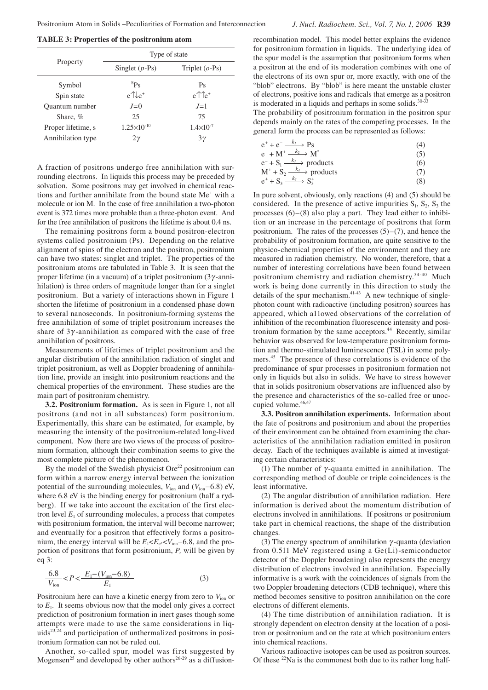|                       | Type of state        |                                 |  |  |
|-----------------------|----------------------|---------------------------------|--|--|
| Property              | Singlet $(p-Ps)$     | Triplet $(o-Ps)$                |  |  |
| Symbol                | ${}^{s}P_{S}$        | $P_S$                           |  |  |
| Spin state            | $e^{\uparrow}$       | $e^{\uparrow}$ $\uparrow$ $e^+$ |  |  |
| <b>Ouantum</b> number | $J=0$                | $J=1$                           |  |  |
| Share, %              | 25                   | 75                              |  |  |
| Proper lifetime, s    | $1.25\times10^{-10}$ | $1.4 \times 10^{-7}$            |  |  |
| Annihilation type     | 2γ                   | $3\gamma$                       |  |  |

A fraction of positrons undergo free annihilation with surrounding electrons. In liquids this process may be preceded by solvation. Some positrons may get involved in chemical reactions and further annihilate from the bound state Me<sup>+</sup> with a molecule or ion M. In the case of free annihilation a two-photon event is 372 times more probable than a three-photon event. And for the free annihilation of positrons the lifetime is about 0.4 ns.

The remaining positrons form a bound positron-electron systems called positronium (Ps). Depending on the relative alignment of spins of the electron and the positron, positronium can have two states: singlet and triplet. The properties of the positronium atoms are tabulated in Table 3. It is seen that the proper lifetime (in a vacuum) of a triplet positronium  $(3\gamma$ -annihilation) is three orders of magnitude longer than for a singlet positronium. But a variety of interactions shown in Figure 1 shorten the lifetime of positronium in a condensed phase down to several nanoseconds. In positronium-forming systems the free annihilation of some of triplet positronium increases the share of  $3\gamma$ -annihilation as compared with the case of free annihilation of positrons.

Measurements of lifetimes of triplet positronium and the angular distribution of the annihilation radiation of singlet and triplet positronium, as well as Doppler broadening of annihilation line, provide an insight into positronium reactions and the chemical properties of the environment. These studies are the main part of positronium chemistry.

**3.2. Positronium formation.** As is seen in Figure 1, not all positrons (and not in all substances) form positronium. Experimentally, this share can be estimated, for example, by measuring the intensity of the positronium-related long-lived component. Now there are two views of the process of positronium formation, although their combination seems to give the most complete picture of the phenomenon.

By the model of the Swedish physicist  $Ore^{22}$  positronium can form within a narrow energy interval between the ionization potential of the surrounding molecules, *V*ion and (*V*ion−6.8) eV, where 6.8 eV is the binding energy for positronium (half a rydberg). If we take into account the excitation of the first electron level  $E_1$  of surrounding molecules, a process that competes with positronium formation, the interval will become narrower; and eventually for a positron that effectively forms a positronium, the energy interval will be  $E_1 E_e E_e$ <sup> $\lt V_{\text{ion}}$ </sup>−6.8, and the proportion of positrons that form positronium, *P,* will be given by eq 3:

$$
\frac{6.8}{V_{\text{ion}}} < P < \frac{E_1 - (V_{\text{ion}} - 6.8)}{E_1}
$$
 (3)

Positronium here can have a kinetic energy from zero to  $V_{\text{ion}}$  or to  $E_1$ . It seems obvious now that the model only gives a correct prediction of positronium formation in inert gases though some attempts were made to use the same considerations in liquids<sup>23,24</sup> and participation of unthermalized positrons in positronium formation can not be ruled out.

Another, so-called spur, model was first suggested by Mogensen<sup>25</sup> and developed by other authors<sup>26-29</sup> as a diffusionrecombination model. This model better explains the evidence for positronium formation in liquids. The underlying idea of the spur model is the assumption that positronium forms when a positron at the end of its moderation combines with one of the electrons of its own spur or, more exactly, with one of the "blob" electrons. By "blob" is here meant the unstable cluster of electrons, positive ions and radicals that emerge as a positron is moderated in a liquids and perhaps in some solids. $30-33$ 

The probability of positronium formation in the positron spur depends mainly on the rates of the competing processes. In the general form the process can be represented as follows:

| $e^+ + e^- \xrightarrow{k_l} Ps$         | (4) |
|------------------------------------------|-----|
| $e^- + M^+ \xrightarrow{k_2} M^*$        | (5) |
| $e^- + S_1 \xrightarrow{k_3}$ products   | (6) |
| $M^+$ + $S_2 \xrightarrow{k_4}$ products | (7) |
| $e^+$ + $S_3 \xrightarrow{k_5} S_3^+$    | (8) |

In pure solvent, obviously, only reactions (4) and (5) should be considered. In the presence of active impurities  $S_1$ ,  $S_2$ ,  $S_3$  the processes (6)–(8) also play a part. They lead either to inhibition or an increase in the percentage of positrons that form positronium. The rates of the processes  $(5)-(7)$ , and hence the probability of positronium formation, are quite sensitive to the physico-chemical properties of the environment and they are measured in radiation chemistry. No wonder, therefore, that a number of interesting correlations have been found between positronium chemistry and radiation chemistry.34-40 Much work is being done currently in this direction to study the details of the spur mechanism. $41-43$  A new technique of singlephoton count with radioactive (including positron) sources has appeared, which a11owed observations of the correlation of inhibition of the recombination fluorescence intensity and positronium formation by the same acceptors.<sup>44</sup> Recently, similar behavior was observed for low-temperature positronium formation and thermo-stimulated luminescence (TSL) in some polymers.<sup>45</sup> The presence of these correlations is evidence of the predominance of spur processes in positronium formation not only in liquids but also in solids. We have to stress however that in solids positronium observations are influenced also by the presence and characteristics of the so-called free or unoccupied volume.<sup>46,47</sup>

**3.3. Positron annihilation experiments.** Information about the fate of positrons and positronium and about the properties of their environment can be obtained from examining the characteristics of the annihilation radiation emitted in positron decay. Each of the techniques available is aimed at investigating certain characteristics:

(1) The number of  $\gamma$ -quanta emitted in annihilation. The corresponding method of double or triple coincidences is the least informative.

(2) The angular distribution of annihilation radiation. Here information is derived about the momentum distribution of electrons involved in annihilations. If positrons or positronium take part in chemical reactions, the shape of the distribution changes.

(3) The energy spectrum of annihilation  $\gamma$ -quanta (deviation from 0.511 MeV registered using a Ge(Li)-semiconductor detector of the Doppler broadening) also represents the energy distribution of electrons involved in annihilation. Especially informative is a work with the coincidences of signals from the two Doppler broadening detectors (CDB technique), where this method becomes sensitive to positron annihilation on the core electrons of different elements.

(4) The time distribution of annihilation radiation. It is strongly dependent on electron density at the location of a positron or positronium and on the rate at which positronium enters into chemical reactions.

Various radioactive isotopes can be used as positron sources. Of these  $^{22}$ Na is the commonest both due to its rather long half-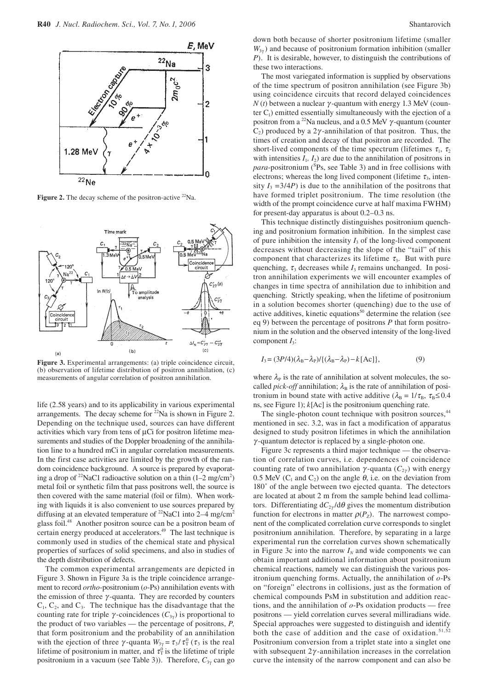

Figure 2. The decay scheme of the positron-active <sup>22</sup>Na.



**Figure 3.** Experimental arrangements: (a) triple coincidence circuit, (b) observation of lifetime distribution of positron annihilation, (c) measurements of angular correlation of positron annihilation.

life (2.58 years) and to its applicability in various experimental arrangements. The decay scheme for <sup>22</sup>Na is shown in Figure 2. Depending on the technique used, sources can have different activities which vary from tens of µCi for positron lifetime measurements and studies of the Doppler broadening of the annihilation line to a hundred mCi in angular correlation measurements. In the first case activities are limited by the growth of the random coincidence background. A source is prepared by evaporating a drop of <sup>22</sup>NaC1 radioactive solution on a thin  $(1-2 \text{ mg/cm}^2)$ metal foil or synthetic film that pass positrons well, the source is then covered with the same material (foil or film). When working with liquids it is also convenient to use sources prepared by diffusing at an elevated temperature of  $^{22}$ NaC1 into 2–4 mg/cm<sup>2</sup> glass foil.<sup>48</sup> Another positron source can be a positron beam of certain energy produced at accelerators.<sup>49</sup> The last technique is commonly used in studies of the chemical state and physical properties of surfaces of solid specimens, and also in studies of the depth distribution of defects.

The common experimental arrangements are depicted in Figure 3. Shown in Figure 3a is the triple coincidence arrangement to record *ortho*-positronium (*o*-Ps) annihilation events with the emission of three  $\gamma$ -quanta. They are recorded by counters  $C_1$ ,  $C_2$ , and  $C_3$ . The technique has the disadvantage that the counting rate for triple  $\gamma$ -coincidences ( $C_{3\gamma}$ ) is proportional to the product of two variables — the percentage of positrons, *P,*  that form positronium and the probability of an annihilation with the ejection of three  $\gamma$ -quanta  $W_{3\gamma} = \tau_3 / \tau_T^0$  ( $\tau_3$  is the real lifetime of positronium in matter, and  $\tau_T^0$  is the lifetime of triple positronium in a vacuum (see Table 3)). Therefore, *C*3<sup>γ</sup> can go

down both because of shorter positronium lifetime (smaller *W*3<sup>γ</sup> ) and because of positronium formation inhibition (smaller *P*). It is desirable, however, to distinguish the contributions of these two interactions.

The most variegated information is supplied by observations of the time spectrum of positron annihilation (see Figure 3b) using coincidence circuits that record delayed coincidences  $N(t)$  between a nuclear  $\gamma$ -quantum with energy 1.3 MeV (counter  $C_1$ ) emitted essentially simultaneously with the ejection of a positron from a <sup>22</sup>Na nucleus, and a 0.5 MeV  $\gamma$ -quantum (counter  $C_2$ ) produced by a 2 $\gamma$ -annihilation of that positron. Thus, the times of creation and decay of that positron are recorded. The short-lived components of the time spectrum (lifetimes  $\tau_1$ ,  $\tau_2$ ) with intensities  $I_1$ ,  $I_2$ ) are due to the annihilation of positrons in para-positronium (<sup>S</sup>Ps, see Table 3) and in free collisions with electrons; whereas the long lived component (lifetime  $\tau_3$ , intensity  $I_3 = 3/4P$ ) is due to the annihilation of the positrons that have formed triplet positronium. The time resolution (the width of the prompt coincidence curve at half maxima FWHM) for present-day apparatus is about 0.2–0.3 ns.

This technique distinctly distinguishes positronium quenching and positronium formation inhibition. In the simplest case of pure inhibition the intensity  $I_3$  of the long-lived component decreases without decreasing the slope of the "tail" of this component that characterizes its lifetime  $\tau_3$ . But with pure quenching,  $\tau_3$  decreases while  $I_3$  remains unchanged. In positron annihilation experiments we will encounter examples of changes in time spectra of annihilation due to inhibition and quenching. Strictly speaking, when the lifetime of positronium in a solution becomes shorter (quenching) due to the use of active additives, kinetic equations<sup>50</sup> determine the relation (see eq 9) between the percentage of positrons *P* that form positronium in the solution and the observed intensity of the long-lived component  $I_3$ :

$$
I_3 = (3P/4)(\lambda_B - \lambda_P)/((\lambda_B - \lambda_P) - k[\text{Ac}]),\tag{9}
$$

where  $\lambda_P$  is the rate of annihilation at solvent molecules, the socalled *pick-off* annihilation;  $\lambda_B$  is the rate of annihilation of positronium in bound state with active additive ( $\lambda_B = 1/\tau_B$ ,  $\tau_B \le 0.4$ ) ns, see Figure 1); *k*[Ac] is the positronium quenching rate.

The single-photon count technique with positron sources,<sup>44</sup> mentioned in sec. 3.2, was in fact a modification of apparatus designed to study positron lifetimes in which the annihilation  $\gamma$ -quantum detector is replaced by a single-photon one.

Figure 3c represents a third major technique — the observation of correlation curves, i.e. dependences of coincidence counting rate of two annihilation  $\gamma$ -quanta ( $C_{2\nu}$ ) with energy 0.5 MeV ( $C_1$  and  $C_2$ ) on the angle  $\theta$ , i.e. on the deviation from 180˚ of the angle between two ejected quanta. The detectors are located at about 2 m from the sample behind lead collimators. Differentiating d*C*<sup>2</sup><sup>γ</sup> /dθ gives the momentum distribution function for electrons in matter  $\rho(P_z)$ . The narrowest component of the complicated correlation curve corresponds to singlet positronium annihilation. Therefore, by separating in a large experimental run the correlation curves shown schematically in Figure 3c into the narrow  $I_N$  and wide components we can obtain important additional information about positronium chemical reactions, namely we can distinguish the various positronium quenching forms. Actually, the annihilation of *o*-Ps on "foreign" electrons in collisions, just as the formation of chemical compounds PsM in substitution and addition reactions, and the annihilation of *o*-Ps oxidation products — free positrons — yield correlation curves several milliradians wide. Special approaches were suggested to distinguish and identify both the case of addition and the case of oxidation.<sup>51,52</sup> Positronium conversion from a triplet state into a singlet one with subsequent  $2\gamma$ -annihilation increases in the correlation curve the intensity of the narrow component and can also be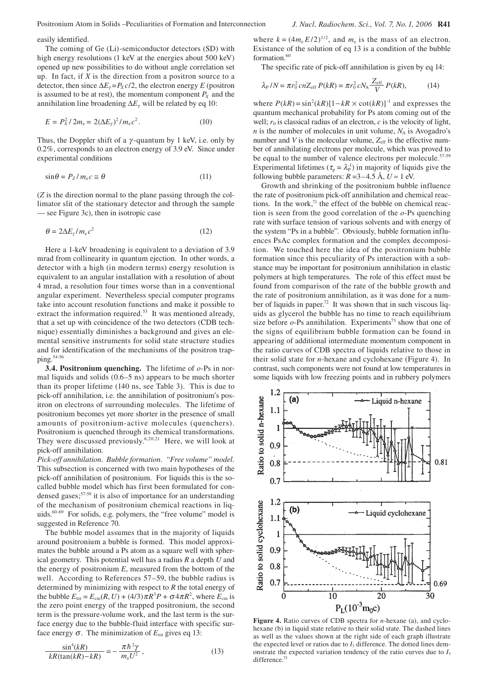The coming of Ge (Li)-semiconductor detectors (SD) with high energy resolutions (1 keV at the energies about 500 keV) opened up new possibilities to do without angle correlation set up. In fact, if *X* is the direction from a positron source to a detector, then since  $\Delta E_y = P_X c/2$ , the electron energy *E* (positron is assumed to be at rest), the momentum component  $P_X$  and the annihilation line broadening ∆*E*γ will be related by eq 10:

$$
E = P_X^2 / 2m_e = 2(\Delta E_\gamma)^2 / m_e c^2.
$$
 (10)

Thus, the Doppler shift of a  $\gamma$ -quantum by 1 keV, i.e. only by 0.2%, corresponds to an electron energy of 3.9 eV. Since under experimental conditions

$$
\sin \theta = P_Z / m_e c \approx \theta \tag{11}
$$

(*Z* is the direction normal to the plane passing through the collimator slit of the stationary detector and through the sample — see Figure 3c), then in isotropic case

$$
\theta = 2\Delta E_{\gamma}/m_{\rm e}c^2\tag{12}
$$

Here a 1-keV broadening is equivalent to a deviation of 3.9 mrad from collinearity in quantum ejection. In other words, a detector with a high (in modern terms) energy resolution is equivalent to an angular installation with a resolution of about 4 mrad, a resolution four times worse than in a conventional angular experiment. Nevertheless special computer programs take into account resolution functions and make it possible to extract the information required.<sup>53</sup> It was mentioned already, that a set up with coincidence of the two detectors (CDB technique) essentially diminishes a background and gives an elemental sensitive instruments for solid state structure studies and for identification of the mechanisms of the positron trapping.<sup>54-56</sup>

**3.4. Positronium quenching.** The lifetime of *o*-Ps in normal liquids and solids  $(0.6–5 \text{ ns})$  appears to be much shorter than its proper lifetime (140 ns, see Table 3). This is due to pick-off annihilation, i.e. the annihilation of positronium's positron on electrons of surrounding molecules. The lifetime of positronium becomes yet more shorter in the presence of small amounts of positronium-active molecules (quenchers). Positronium is quenched through its chemical transformations. They were discussed previously.<sup>6,20,21</sup> Here, we will look at pick-off annihilation.

*Pick-off annihilation*. *Bubble formation. "Free volume" model.*  This subsection is concerned with two main hypotheses of the pick-off annihilation of positronium. For liquids this is the socalled bubble model which has first been formulated for condensed gases;<sup>57-59</sup> it is also of importance for an understanding of the mechanism of positronium chemical reactions in liquids.60-69 For solids, e.g. polymers, the "free volume" model is suggested in Reference 70.

The bubble model assumes that in the majority of liquids around positronium a bubble is formed. This model approximates the bubble around a Ps atom as a square well with spherical geometry. This potential well has a radius *R* a depth *U* and the energy of positronium *E*, measured from the bottom of the well. According to References 57–59, the bubble radius is determined by minimizing with respect to *R* the total energy of the bubble  $E_{\text{tot}} = E_{\text{cm}}(R, U) + (4/3)\pi R^3 P + \sigma 4\pi R^2$ , where  $E_{\text{cm}}$  is the zero point energy of the trapped positronium, the second term is the pressure-volume work, and the last term is the surface energy due to the bubble-fluid interface with specific surface energy  $\sigma$ . The minimization of  $E_{\text{tot}}$  gives eq 13:

$$
\frac{\sin^4(kR)}{kR(\tan(kR) - kR)} = -\frac{\pi\hbar^2\gamma}{m_e U^2},\qquad(13)
$$

where  $k = (4m_e E/2)^{1/2}$ , and  $m_e$  is the mass of an electron. Existance of the solution of eq 13 is a condition of the bubble formation.<sup>60</sup>

The specific rate of pick-off annihilation is given by eq 14:

$$
\lambda_{\rm P}/N = \pi r_0^2 cnZ_{\rm eff} P(kR) = \pi r_0^2 c N_{\rm A} \frac{Z_{\rm eff}}{V} P(kR),\tag{14}
$$

where  $P(kR) = \sin^2(kR)[1 - kR \times \cot(kR)]^{-1}$  and expresses the quantum mechanical probability for Ps atom coming out of the well;  $r_0$  is classical radius of an electron,  $c$  is the velocity of light, *n* is the number of molecules in unit volume,  $N_A$  is Avogadro's number and  $V$  is the molecular volume,  $Z_{\text{eff}}$  is the effective number of annihilating electrons per molecule, which was proved to be equal to the number of valence electrons per molecule.<sup>57-59</sup> Experimental lifetimes ( $\tau_p = \lambda_p^{-1}$ ) in majority of liquids give the following bubble parameters:  $R = 3-4.5$  Å,  $U \approx 1$  eV.

Growth and shrinking of the positronium bubble influence the rate of positronium pick-off annihilation and chemical reactions. In the work, $71$  the effect of the bubble on chemical reaction is seen from the good correlation of the *o*-Ps quenching rate with surface tension of various solvents and with energy of the system "Ps in a bubble". Obviously, bubble formation influences PsAc complex formation and the complex decomposition. We touched here the idea of the positronium bubble formation since this peculiarity of Ps interaction with a substance may be important for positronium annihilation in elastic polymers at high temperatures. The role of this effect must be found from comparison of the rate of the bubble growth and the rate of positronium annihilation, as it was done for a number of liquids in paper.<sup>72</sup> It was shown that in such viscous liquids as glycerol the bubble has no time to reach equilibrium size before  $o$ -Ps annihilation. Experiments<sup>73</sup> show that one of the signs of equilibrium bubble formation can be found in appearing of additional intermediate momentum component in the ratio curves of CDB spectra of liquids relative to those in their solid state for *n*-hexane and cyclohexane (Figure 4). In contrast, such components were not found at low temperatures in some liquids with low freezing points and in rubbery polymers



**Figure 4.** Ratio curves of CDB spectra for *n*-hexane (a), and cyclohexane (b) in liquid state relative to their solid state. The dashed lines as well as the values shown at the right side of each graph illustrate the expected level or ratios due to  $I_3$  difference. The dotted lines demonstrate the expected variation tendency of the ratio curves due to  $I_3$ difference.<sup>7</sup>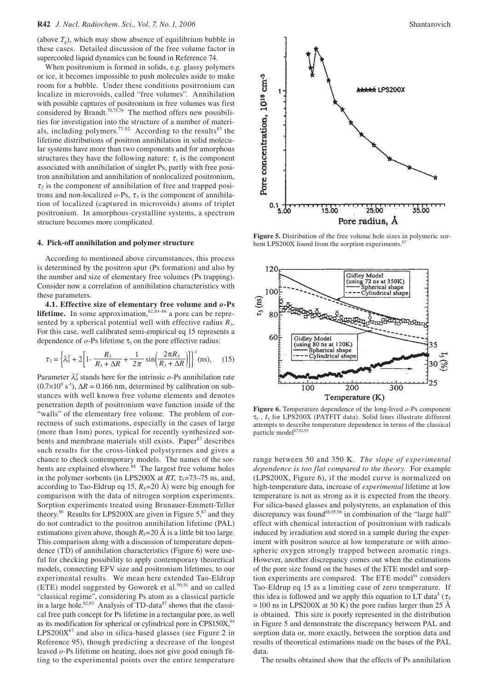(above  $T_g$ ), which may show absence of equilibrium bubble in these cases. Detailed discussion of the free volume factor in supercooled liquid dynamics can be found in Reference 74.

When positronium is formed in solids, e.g. glassy polymers or ice, it becomes impossible to push molecules aside to make room for a bubble. Under these conditions positronium can localize in microvoids, called "free volumes". Annihilation with possible captures of positronium in free volumes was first considered by Brandt.70,75,76 The method offers new possibilities for investigation into the structure of a number of materials, including polymers.<sup>77-82</sup> According to the results<sup>83</sup> the lifetime distributions of positron annihilation in solid molecular systems have more than two components and for amorphous structures they have the following nature:  $\tau_1$  is the component associated with annihilation of singlet Ps, partly with free positron annihilation and annihilation of nonlocalized positronium,  $\tau_2$  is the component of annihilation of free and trapped positrons and non-localized  $o$ -Ps,  $\tau_3$  is the component of annihilation of localized (captured in microvoids) atoms of triplet positronium. In amorphous-crystalline systems, a spectrum structure becomes more complicated.

### **4. Pick-off annihilation and polymer structure**

According to mentioned above circumstances, this process is determined by the positron spur (Ps formation) and also by the number and size of elementary free volumes (Ps trapping). Consider now a correlation of annihilation characteristics with these parameters.

**4.1. Effective size of elementary free volume and** *o***-Ps lifetime.** In some approximation,  $62,84-86$  a pore can be represented by a spherical potential well with effective radius *R*3. For this case, well calibrated semi-empirical eq 15 represents a dependence of  $o$ -Ps lifetime  $\tau_3$  on the pore effective radius:

$$
\tau_3 = \left\{ \lambda_0^T + 2 \left[ 1 - \frac{R_3}{R_3 + \Delta R} + \frac{1}{2\pi} \sin \left( \frac{2\pi R_3}{R_3 + \Delta R} \right) \right] \right\}^{-1} \text{(ns)},\qquad(15)
$$

Parameter  $\lambda_0^T$  stands here for the intrinsic  $o$ -Ps annihilation rate  $(0.7 \times 10^{9} \text{ s}^{-1})$ ,  $\Delta R = 0.166 \text{ nm}$ , determined by calibration on substances with well known free volume elements and denotes penetration depth of positronium wave function inside of the "walls" of the elementary free volume. The problem of correctness of such estimations, especially in the cases of large (more than 1nm) pores, typical for recently synthesized sorbents and membrane materials still exists. Paper<sup>87</sup> describes such results for the cross-linked polystyrenes and gives a chance to check contemporary models. The names of the sorbents are explained elswhere.<sup>88</sup> The largest free volume holes in the polymer sorbents (in LPS200X at  $RT$ ,  $\tau_5 = 73 - 75$  ns, and, according to Tao-Eldrup eq 15,  $R_5$ =20 Å) were big enough for comparison with the data of nitrogen sorption experiments. Sorption experiments treated using Brunauer-Emmett-Teller theory.<sup>89</sup> Results for LPS200X are given in Figure  $5$ ,  $87$  and they do not contradict to the positron annihilation lifetime (PAL) estimations given above, though  $R_5=20$  Å is a little bit too large. This comparison along with a discussion of temperature dependence (TD) of annihilation characteristics (Figure 6) were useful for checking possibility to apply contemporary theoretical models, connecting EFV size and positronium lifetimes, to our experimental results. We mean here extended Tao-Eldrup (ETE) model suggested by Goworek et al. $90,91$  and so called "classical regime", considering Ps atom as a classical particle in a large hole.<sup>92,93</sup> Analysis of TD-data<sup>87</sup> shows that the classical free path concept for Ps lifetime in a rectangular pore, as well as its modification for spherical or cylindrical pore in CPS150 $X<sup>94</sup>$  $LPS200X<sup>87</sup>$  and also in silica-based glasses (see Figure 2 in Reference 95), though predicting a decrease of the longest leaved *o*-Ps lifetime on heating, does not give good enough fitting to the experimental points over the entire temperature



**Figure 5.** Distribution of the free volume hole sizes in polymeric sorbent LPS200X found from the sorption experiments.<sup>8</sup>



**Figure 6.** Temperature dependence of the long-lived *o*-Ps component  $\tau_5$ ,  $I_5$  for LPS200X (PATFIT data). Solid lines illustrate different attempts to describe temperature dependence in terms of the classical particle model<sup>87,92,9</sup>

range between 50 and 350 K. *The slope of experimental dependence is too flat compared to the theory*. For example (LPS200X, Figure 6), if the model curve is normalized on high-temperature data, increase of *experimental* lifetime at low temperature is not as strong as it is expected from the theory. For silica-based glasses and polystyrens, an explanation of this discrepancy was found<sup>88,95,96</sup> in combination of the "large hall" effect with chemical interaction of positronium with radicals induced by irradiation and stored in a sample during the experiment with positron source at low temperature or with atmospheric oxygen strongly trapped between aromatic rings. However, another discrepancy comes out when the estimations of the pore size found on the bases of the ETE model and sorption experiments are compared. The ETE model<sup>91</sup> considers Tao-Eldrup eq 15 as a limiting case of zero temperature. If this idea is followed and we apply this equation to LT data<sup>5</sup> ( $\tau_5$  $= 100$  ns in LPS200X at 50 K) the pore radius larger than 25 Å is obtained. This size is poorly represented in the distribution in Figure 5 and demonstrate the discrepancy between PAL and sorption data or, more exactly, between the sorption data and results of theoretical estimations made on the bases of the PAL data.

The results obtained show that the effects of Ps annihilation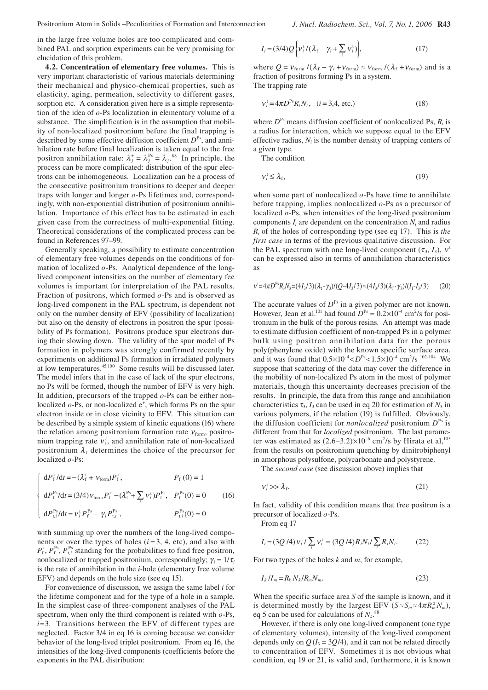in the large free volume holes are too complicated and combined PAL and sorption experiments can be very promising for elucidation of this problem.

**4.2. Concentration of elementary free volumes.** This is very important characteristic of various materials determining their mechanical and physico-chemical properties, such as elasticity, aging, permeation, selectivity to different gases, sorption etc. A consideration given here is a simple representation of the idea of *o*-Ps localization in elementary volume of a substance. The simplification is in the assumption that mobility of non-localized positronium before the final trapping is described by some effective diffusion coefficient  $D^{P<sub>s</sub>}$ , and annihilation rate before final localization is taken equal to the free positron annihilation rate:  $\lambda_f^+ = \lambda_f^{Ps} = \lambda_f^{88}$  In principle, the process can be more complicated: distribution of the spur electrons can be inhomogeneous. Localization can be a process of the consecutive positronium transitions to deeper and deeper traps with longer and longer *o*-Ps lifetimes and, correspondingly, with non-exponential distribution of positronium annihilation. Importance of this effect has to be estimated in each given case from the correctness of multi-exponential fitting. Theoretical considerations of the complicated process can be found in References 97–99.

Generally speaking, a possibility to estimate concentration of elementary free volumes depends on the conditions of formation of localized *o*-Ps. Analytical dependence of the longlived component intensities on the number of elementary fee volumes is important for interpretation of the PAL results. Fraction of positrons, which formed *o*-Ps and is observed as long-lived component in the PAL spectrum, is dependent not only on the number density of EFV (possibility of localization) but also on the density of electrons in positron the spur (possibility of Ps formation). Positrons produce spur electrons during their slowing down. The validity of the spur model of Ps formation in polymers was strongly confirmed recently by experiments on additional Ps formation in irradiated polymers at low temperatures.45,100 Some results will be discussed later. The model infers that in the case of lack of the spur electrons, no Ps will be formed, though the number of EFV is very high*.*  In addition, precursors of the trapped *o*-Ps can be either nonlocalized  $o$ -Ps, or non-localized  $e^+$ , which forms Ps on the spur electron inside or in close vicinity to EFV. This situation can be described by a simple system of kinetic equations (16) where the relation among positronium formation rate  $v_{\text{form}}$ , positronium trapping rate  $v_i^t$ , and annihilation rate of non-localized positronium  $\lambda_f$  determines the choice of the precursor for localized *o*-Ps:

$$
\begin{cases}\ndP_{\rm f}^{+}/\mathrm{d}t = -(\lambda_{\rm f}^{+} + \nu_{\rm form})P_{\rm f}^{+}, & P_{\rm f}^{+}(0) = 1 \\
dP_{\rm f}^{\rm Ps}/\mathrm{d}t = (3/4)\nu_{\rm form}P_{\rm f}^{+} - (\lambda_{\rm f}^{\rm Ps} + \sum_{i} \nu_{i}^{+})P_{\rm f}^{\rm Ps}, & P_{\rm f}^{\rm Ps}(0) = 0 \\
dP_{\rm t,i}^{\rm Ps}/\mathrm{d}t = \nu_{i}^{+}P_{\rm f}^{\rm Ps} - \gamma_{i}P_{\rm t,i}^{\rm ps}, & P_{\rm t,i}^{\rm Ps}(0) = 0\n\end{cases}
$$
(16)

with summing up over the numbers of the long-lived components or over the types of holes  $(i=3, 4, etc)$ , and also with  $P_{\rm f}^{\rm +}$ ,  $P_{\rm f}^{\rm Ps}$ ,  $P_{\rm t,i}^{\rm Ps}$  standing for the probabilities to find free positron, nonlocalized or trapped positronium, correspondingly;  $\gamma_i = 1/\tau_i$ is the rate of annihilation in the *i-*hole (elementary free volume EFV) and depends on the hole size (see eq 15).

For convenience of discussion, we assign the same label *i* for the lifetime component and for the type of a hole in a sample. In the simplest case of three-component analyses of the PAL spectrum, when only the third component is related with *o*-Ps, *i*=3. Transitions between the EFV of different types are neglected. Factor 3/4 in eq 16 is coming because we consider behavior of the long-lived triplet positronium. From eq 16, the intensities of the long-lived components (coefficients before the exponents in the PAL distribution:

$$
I_i = (3/4) Q \left\{ v_i^{\mathrm{t}} / (\lambda_f - \gamma_i + \sum_i v_i^{\mathrm{t}}) \right\},\tag{17}
$$

where  $Q = v_{\text{form}} / (\lambda_f - \gamma_i + v_{\text{form}}) \approx v_{\text{form}} / (\lambda_f + v_{\text{form}})$  and is a fraction of positrons forming Ps in a system. The trapping rate

$$
v_i^{\text{t}} = 4\pi D^{\text{Ps}} R_i N_i, \quad (i = 3, 4, \text{ etc.})
$$
 (18)

where  $D^{P<sub>s</sub>}$  means diffusion coefficient of nonlocalized Ps,  $R<sub>i</sub>$  is a radius for interaction, which we suppose equal to the EFV effective radius, *Ni* is the number density of trapping centers of a given type.

The condition

$$
\mathbf{v}_i^{\mathrm{t}} \le \lambda_{\mathrm{f}},\tag{19}
$$

when some part of nonlocalized *o*-Ps have time to annihilate before trapping, implies nonlocalized *o*-Ps as a precursor of localized *o*-Ps, when intensities of the long-lived positronium components  $I_i$  are dependent on the concentration  $N_i$  and radius *Ri* of the holes of corresponding type (see eq 17). This is *the first case* in terms of the previous qualitative discussion. For the PAL spectrum with one long-lived component  $(\tau_3, I_3)$ ,  $v^t$ can be expressed also in terms of annihilation characteristics as

$$
v^{\text{t}} = 4\pi D^{\text{Ps}} R_3 N_3 = (4I_3/3)(\lambda_f - \gamma_3)/(Q - 4I_3/3) \approx (4I_3/3)(\lambda_f - \gamma_3)/(I_1 - I_3/3) \tag{20}
$$

The accurate values of  $D^{P<sub>s</sub>}$  in a given polymer are not known. However, Jean et al.<sup>101</sup> had found  $D^{Ps} = 0.2 \times 10^{-4}$  cm<sup>2</sup>/s for positronium in the bulk of the porous resins. An attempt was made to estimate diffusion coefficient of non-trapped Ps in a polymer bulk using positron annihilation data for the porous poly(phenylene oxide) with the known specific surface area, and it was found that  $0.5 \times 10^{-4} < D^{Ps} < 1.5 \times 10^{-4}$  cm<sup>2</sup>/s <sup>102-104</sup> We suppose that scattering of the data may cover the difference in the mobility of non-localized Ps atom in the most of polymer materials, though this uncertainty decreases precision of the results. In principle, the data from this range and annihilation characteristics  $\tau_3$ ,  $I_3$  can be used in eq 20 for estimation of  $N_3$  in various polymers, if the relation (19) is fulfilled. Obviously, the diffusion coefficient for *nonlocalized* positronium  $D^{P<sub>s</sub>}$  is different from that for *localized* positronium. The last parameter was estimated as  $(2.6-3.2)\times10^{-6}$  cm<sup>2</sup>/s by Hirata et al,<sup>105</sup> from the results on positronium quenching by dinitrobiphenyl in amorphous polysulfone, polycarbonate and polystyrene.

The *second case* (see discussion above) implies that

$$
\mathcal{V}_i^t \gg \lambda_f. \tag{21}
$$

In fact, validity of this condition means that free positron is a precursor of localized *o*-Ps.

From eq 17

$$
I_i = (3Q/4) v_i^t / \sum_i v_i^t = (3Q/4) R_i N_i / \sum_i R_i N_i. \tag{22}
$$

For two types of the holes *k* and *m*, for example,

$$
I_k/I_m = R_k N_k / R_m N_m. \tag{23}
$$

When the specific surface area *S* of the sample is known, and it is determined mostly by the largest EFV ( $S \approx S_m \approx 4\pi R_m^2 N_m$ ), eq 5 can be used for calculations of  $N_k$ .<sup>88</sup>

However, if there is only one long-lived component (one type of elementary volumes), intensity of the long-lived component depends only on  $Q(I_3 = 3Q/4)$ , and it can not be related directly to concentration of EFV. Sometimes it is not obvious what condition, eq 19 or 21, is valid and, furthermore, it is known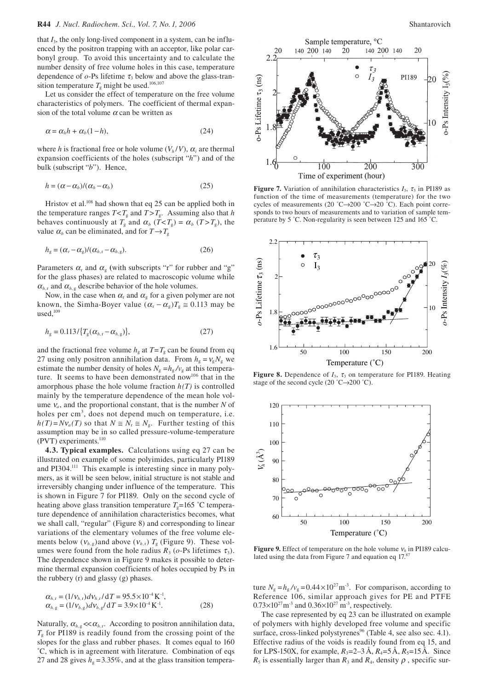that *I*3, the only long-lived component in a system, can be influenced by the positron trapping with an acceptor, like polar carbonyl group. To avoid this uncertainty and to calculate the number density of free volume holes in this case, temperature dependence of  $o$ -Ps lifetime  $\tau_3$  below and above the glass-transition temperature  $T_g$  might be used.<sup>106,107</sup>

Let us consider the effect of temperature on the free volume characteristics of polymers. The coefficient of thermal expansion of the total volume  $\alpha$  can be written as

$$
\alpha = \alpha_h h + \alpha_b (1 - h), \tag{24}
$$

where *h* is fractional free or hole volume  $(V_h/V)$ ,  $\alpha_i$  are thermal expansion coefficients of the holes (subscript "*h*") and of the bulk (subscript "*b*"). Hence,

$$
h = (\alpha - \alpha_b) / (\alpha_h - \alpha_b) \tag{25}
$$

Hristov et al.<sup>108</sup> had shown that eq 25 can be applied both in the temperature ranges  $T < T_g$  and  $T > T_g$ . Assuming also that *h* behaves continuously at  $T_g$  and  $\alpha_b$  ( $T < T_g$ ) =  $\alpha_b$  ( $T > T_g$ ), the value  $\alpha_b$  can be eliminated, and for  $T \rightarrow T_g$ 

$$
h_{g} = (\alpha_{r} - \alpha_{g})/(\alpha_{h,r} - \alpha_{h,g}).
$$
\n(26)

Parameters  $\alpha_r$  and  $\alpha_g$  (with subscripts "r" for rubber and "g" for the glass phases) are related to macroscopic volume while  $\alpha_{h,r}$  and  $\alpha_{h,g}$  describe behavior of the hole volumes.

Now, in the case when  $\alpha_r$  and  $\alpha_g$  for a given polymer are not known, the Simha-Boyer value  $(\alpha_r - \alpha_g)T_g \approx 0.113$  may be used. $109$ 

$$
h_{g} = 0.113 / \{T_{g}(\alpha_{h,r} - \alpha_{h,g})\},\tag{27}
$$

and the fractional free volume  $h<sub>g</sub>$  at  $T=T<sub>g</sub>$  can be found from eq 27 using only positron annihilation data. From  $h<sub>g</sub> = v<sub>g</sub> N<sub>g</sub>$  we estimate the number density of holes  $N_g = h_g / v_g$  at this temperature. It seems to have been demonstrated now<sup>106</sup> that in the amorphous phase the hole volume fraction  $h(T)$  is controlled mainly by the temperature dependence of the mean hole volume  $v_a$ , and the proportional constant, that is the number *N* of holes per cm<sup>3</sup>, does not depend much on temperature, i.e.  $h(T) = Nv_a(T)$  so that  $N \cong N_r \cong N_g$ . Further testing of this assumption may be in so called pressure-volume-temperature (PVT) experiments. $^{110}$ 

**4.3. Typical examples.** Calculations using eq 27 can be illustrated on example of some polyimides, particularly PI189 and PI304.<sup>111</sup> This example is interesting since in many polymers, as it will be seen below, initial structure is not stable and irreversibly changing under influence of the temperature. This is shown in Figure 7 for PI189. Only on the second cycle of heating above glass transition temperature  $T<sub>g</sub>=165$  °C temperature dependence of annihilation characteristics becomes, what we shall call, "regular" (Figure 8) and corresponding to linear variations of the elementary volumes of the free volume elements below  $(v_{h,g})$ and above  $(v_{h,r})$   $T_g$  (Figure 9). These volumes were found from the hole radius  $R_3$  ( $o$ -Ps lifetimes  $\tau_3$ ). The dependence shown in Figure 9 makes it possible to determine thermal expansion coefficients of holes occupied by Ps in the rubbery (r) and glassy (g) phases.

$$
\alpha_{h,r} = (1/v_{h,r})dv_{h,r}/dT = 95.5 \times 10^{-4} \text{ K}^{-1},\n\alpha_{h,g} = (1/v_{h,g})dv_{h,g}/dT = 3.9 \times 10^{-4} \text{ K}^{-1}.
$$
\n(28)

Naturally,  $\alpha_{h,g} \ll \alpha_{h,r}$ . According to positron annihilation data,  $T<sub>g</sub>$  for PI189 is readily found from the crossing point of the slopes for the glass and rubber phases. It comes equal to 160 ˚C, which is in agreement with literature. Combination of eqs 27 and 28 gives  $h_g = 3.35\%$ , and at the glass transition tempera-



**Figure 7.** Variation of annihilation characteristics  $I_3$ ,  $\tau_3$  in PI189 as function of the time of measurements (temperature) for the two cycles of measurements (20 °C→200 °C→20 °C). Each point corresponds to two hours of measurements and to variation of sample temperature by 5 ˚C. Non-regularity is seen between 125 and 165 ˚C.



**Figure 8.** Dependence of  $I_3$ ,  $\tau_3$  on temperature for PI189. Heating stage of the second cycle (20 °C $\rightarrow$ 200 °C).



**Figure 9.** Effect of temperature on the hole volume  $v_h$  in PI189 calculated using the data from Figure 7 and equation eq 17.<sup>8</sup>

ture  $N_g = h_g / v_g = 0.44 \times 10^{27} \text{m}^3$ . For comparison, according to Reference 106, similar approach gives for PE and PTFE  $0.73\times10^{27}$  m<sup>-3</sup> and  $0.36\times10^{27}$  m<sup>-3</sup>, respectively.

The case represented by eq 23 can be illustrated on example of polymers with highly developed free volume and specific surface, cross-linked polystyrenes<sup>96</sup> (Table 4, see also sec. 4.1). Effective radius of the voids is readily found from eq 15, and for LPS-150X, for example,  $R_3 = 2-3 \text{ Å}, R_4 = 5 \text{ Å}, R_5 = 15 \text{ Å}.$  Since  $R_5$  is essentially larger than  $R_3$  and  $R_4$ , density  $\rho$ , specific sur-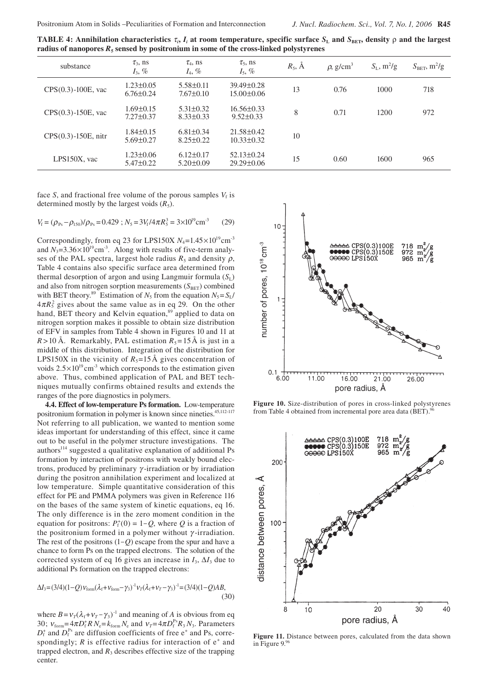**TABLE 4:** Annihilation characteristics  $τ_i$ ,  $I_i$  at room temperature, specific surface  $S_L$  and  $S_{BET}$ , density  $ρ$  and the largest **radius of nanopores** *R***5 sensed by positronium in some of the cross-linked polystyrenes**

| substance                | $\tau_{3}$ , ns<br>$I_3$ , %       | $\tau_4$ , ns<br>$I_4, \%$         | $\tau_{5}$ , ns<br>$I_5$ , %         | $R_5$ , $\AA$ | $\rho$ , g/cm <sup>3</sup> | $S_L$ , m <sup>2</sup> /g | $S_{\text{BET}}$ , m <sup>2</sup> /g |
|--------------------------|------------------------------------|------------------------------------|--------------------------------------|---------------|----------------------------|---------------------------|--------------------------------------|
| $CPS(0.3)$ -100E, vac    | $1.23 \pm 0.05$<br>$6.76 \pm 0.24$ | $5.58 \pm 0.11$<br>$7.67 \pm 0.10$ | $39.49 \pm 0.28$<br>$15.00 \pm 0.06$ | 13            | 0.76                       | 1000                      | 718                                  |
| $CPS(0.3) - 150E$ , vac  | $1.69 \pm 0.15$<br>$7.27 \pm 0.37$ | $5.31 \pm 0.32$<br>$8.33 \pm 0.33$ | $16.56\pm0.33$<br>$9.52 \pm 0.33$    | 8             | 0.71                       | 1200                      | 972                                  |
| $CPS(0.3) - 150E$ , nitr | $1.84 \pm 0.15$<br>$5.69 \pm 0.27$ | $6.81 \pm 0.34$<br>$8.25 \pm 0.22$ | $21.58 \pm 0.42$<br>$10.33 \pm 0.32$ | 10            |                            |                           |                                      |
| LPS150X, vac             | $1.23 \pm 0.06$<br>$5.47 \pm 0.22$ | $6.12 \pm 0.17$<br>$5.20 \pm 0.09$ | $52.13 \pm 0.24$<br>$29.29 \pm 0.06$ | 15            | 0.60                       | 1600                      | 965                                  |

face *S*, and fractional free volume of the porous samples  $V_f$  is determined mostly by the largest voids  $(R_5)$ .

$$
V_{\rm f} = (\rho_{\rm Ps} - \rho_{\rm 150})/\rho_{\rm Ps} = 0.429
$$
;  $N_{\rm 5} = 3V_{\rm f}/4\pi R_5^3 = 3 \times 10^{19} \text{cm}^{-3}$  (29)

Correspondingly, from eq 23 for LPS150X  $N_4$ =1.45×10<sup>19</sup>cm<sup>-3</sup> and  $N_3 = 3.36 \times 10^{19} \text{cm}^3$ . Along with results of five-term analyses of the PAL spectra, largest hole radius  $R_5$  and density  $\rho$ , Table 4 contains also specific surface area determined from thermal desorption of argon and using Langmuir formula  $(S_L)$ and also from nitrogen sorption measurements  $(S<sub>BET</sub>)$  combined with BET theory.<sup>89</sup> Estimation of  $N_5$  from the equation  $N_5 = S_L/$  $4\pi R_5^2$  gives about the same value as in eq 29. On the other hand, BET theory and Kelvin equation,<sup>89</sup> applied to data on nitrogen sorption makes it possible to obtain size distribution of EFV in samples from Table 4 shown in Figures 10 and 11 at  $R > 10 \text{ Å}$ . Remarkably, PAL estimation  $R_5 = 15 \text{ Å}$  is just in a middle of this distribution. Integration of the distribution for LPS150X in the vicinity of  $R_5=15$  Å gives concentration of voids  $2.5 \times 10^{19}$  cm<sup>-3</sup> which corresponds to the estimation given above. Thus, combined application of PAL and BET techniques mutually confirms obtained results and extends the ranges of the pore diagnostics in polymers.

**4.4. Effect of low-temperature Ps formation.** Low-temperature positronium formation in polymer is known since nineties.<sup>45,112-117</sup> Not referring to all publication, we wanted to mention some ideas important for understanding of this effect, since it came out to be useful in the polymer structure investigations. The authors<sup>114</sup> suggested a qualitative explanation of additional Ps formation by interaction of positrons with weakly bound electrons, produced by preliminary  $\gamma$ -irradiation or by irradiation during the positron annihilation experiment and localized at low temperature. Simple quantitative consideration of this effect for PE and PMMA polymers was given in Reference 116 on the bases of the same system of kinetic equations, eq 16. The only difference is in the zero moment condition in the equation for positrons:  $P_f^+(0) = 1-Q$ , where *Q* is a fraction of the positronium formed in a polymer without  $\gamma$ -irradiation. The rest of the positrons (1<sup>−</sup> *Q*) escape from the spur and have a chance to form Ps on the trapped electrons. The solution of the corrected system of eq 16 gives an increase in  $I_3$ ,  $\Delta I_3$  due to additional Ps formation on the trapped electrons:

$$
\Delta I_3 = (3/4)(1-Q)\nu_{\text{form}}(\lambda_f + \nu_{\text{form}} - \gamma_3)^{-1}\nu_T(\lambda_f + \nu_T - \gamma_3)^{-1} = (3/4)(1-Q)AB,
$$
\n(30)

where  $B = v_T(\lambda_f + v_T - \gamma_3)^{-1}$  and meaning of *A* is obvious from eq 30;  $v_{\text{form}} = 4\pi D_f^* R N_e = k_{\text{form}} N_e$  and  $v_T = 4\pi D_f^{\text{Ps}} R_3 N_3$ . Parameters  $D_f^*$  and  $D_f^{Ps}$  are diffusion coefficients of free e<sup>+</sup> and Ps, correspondingly;  $R$  is effective radius for interaction of  $e^+$  and trapped electron, and  $R_3$  describes effective size of the trapping center.



**Figure 10.** Size-distribution of pores in cross-linked polystyrenes from Table 4 obtained from incremental pore area data (BET).<sup>9</sup>



**Figure 11.** Distance between pores, calculated from the data shown in Figure 9.9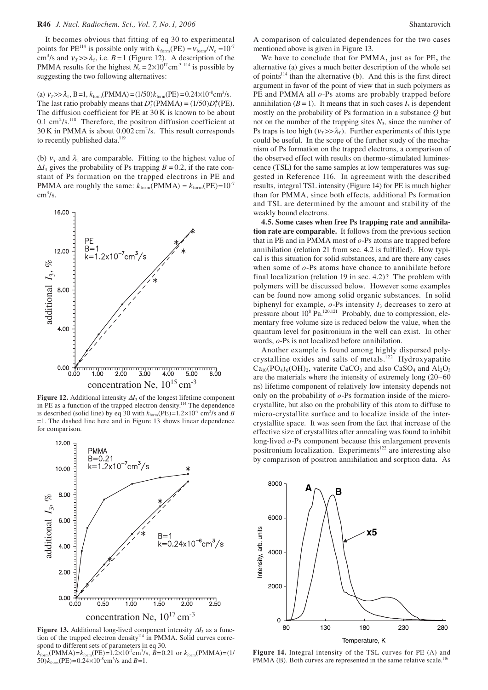It becomes obvious that fitting of eq 30 to experimental points for PE<sup>114</sup> is possible only with  $k_{\text{form}}$ (PE) =  $v_{\text{form}}/N_e$  =10<sup>-7</sup> cm<sup>3</sup>/s and  $v_T$   $>> \lambda_f$ , i.e. *B* = 1 (Figure 12). A description of the PMMA results for the highest  $N_e = 2 \times 10^{17}$  cm<sup>-3 114</sup> is possible by suggesting the two following alternatives:

(a)  $v_T >> \lambda_f$ , B=1,  $k_{form}$ (PMMA) = (1/50) $k_{form}$ (PE) = 0.24×10<sup>-8</sup>cm<sup>3</sup>/s. The last ratio probably means that  $D_f^+(PMMA) = (1/50)D_f^+(PE)$ . The diffusion coefficient for PE at 30 K is known to be about  $0.1 \text{ cm}^2/\text{s}$ .<sup>118</sup> Therefore, the positron diffusion coefficient at  $30 \text{ K}$  in PMMA is about  $0.002 \text{ cm}^2/\text{s}$ . This result corresponds to recently published data.<sup>119</sup>

(b)  $v_T$  and  $\lambda_f$  are comparable. Fitting to the highest value of  $\Delta I_3$  gives the probability of Ps trapping *B* = 0.2, if the rate constant of Ps formation on the trapped electrons in PE and PMMA are roughly the same:  $k_{form}$ (PMMA) =  $k_{form}$ (PE)=10<sup>-7</sup>  $\text{cm}^3/\text{s}$ .



**Figure 12.** Additional intensity  $\Delta I_3$  of the longest lifetime component in PE as a function of the trapped electron density.114 The dependence is described (solid line) by eq 30 with  $k_{form}$ (PE)= $1.2 \times 10^{-7}$  cm<sup>3</sup>/s and *B* =1. The dashed line here and in Figure 13 shows linear dependence for comparison.



**Figure 13.** Additional long-lived component intensity ∆*I*3 as a function of the trapped electron density<sup>114</sup> in PMMA. Solid curves correspond to different sets of parameters in eq 30.

 $k_{\text{form}}(\text{PMMA}) = k_{\text{form}}(\text{PE}) = 1.2 \times 10^{-7} \text{cm}^3/\text{s}, B = 0.21 \text{ or } k_{\text{form}}(\text{PMMA}) = (1/\text{NMA})$ 50) $k_{\text{form}}$ (PE)=0.24×10<sup>-8</sup>cm<sup>3</sup>/s and *B*=1.

A comparison of calculated dependences for the two cases mentioned above is given in Figure 13.

We have to conclude that for PMMA**,** just as for PE**,** the alternative (a) gives a much better description of the whole set of points $114$  than the alternative (b). And this is the first direct argument in favor of the point of view that in such polymers as PE and PMMA all *o*-Ps atoms are probably trapped before annihilation  $(B = 1)$ . It means that in such cases  $I_3$  is dependent mostly on the probability of Ps formation in a substance *Q* but not on the number of the trapping sites  $N_3$ , since the number of Ps traps is too high  $(v_7>>\lambda_f)$ . Further experiments of this type could be useful. In the scope of the further study of the mechanism of Ps formation on the trapped electrons, a comparison of the observed effect with results on thermo-stimulated luminescence (TSL**)** for the same samples at low temperatures was suggested in Reference 116. In agreement with the described results, integral TSL intensity (Figure 14) for PE is much higher than for PMMA, since both effects, additional Ps formation and TSL are determined by the amount and stability of the weakly bound electrons.

**4.5. Some cases when free Ps trapping rate and annihilation rate are comparable.** It follows from the previous section that in PE and in PMMA most of *o*-Ps atoms are trapped before annihilation (relation 21 from sec. 4.2 is fulfilled). How typical is this situation for solid substances, and are there any cases when some of *o*-Ps atoms have chance to annihilate before final localization (relation 19 in sec. 4.2)? The problem with polymers will be discussed below. However some examples can be found now among solid organic substances. In solid biphenyl for example,  $o$ -Ps intensity  $I_3$  decreases to zero at pressure about  $10^8$  Pa.<sup>120,121</sup> Probably, due to compression, elementary free volume size is reduced below the value, when the quantum level for positronium in the well can exist. In other words, *o*-Ps is not localized before annihilation.

Another example is found among highly dispersed polycrystalline oxides and salts of metals.122 Hydroxyapatite  $Ca_{10}(PO_4)_6(OH)_2$ , vaterite CaCO<sub>3</sub> and also CaSO<sub>4</sub> and Al<sub>2</sub>O<sub>3</sub> are the materials where the intensity of extremely long (20–60 ns) lifetime component of relatively low intensity depends not only on the probability of *o*-Ps formation inside of the microcrystallite, but also on the probability of this atom to diffuse to micro-crystallite surface and to localize inside of the intercrystallite space. It was seen from the fact that increase of the effective size of crystallites after annealing was found to inhibit long-lived *o*-Ps component because this enlargement prevents positronium localization. Experiments<sup>122</sup> are interesting also by comparison of positron annihilation and sorption data. As



**Figure 14.** Integral intensity of the TSL curves for PE (A) and PMMA (B). Both curves are represented in the same relative scale.<sup>116</sup>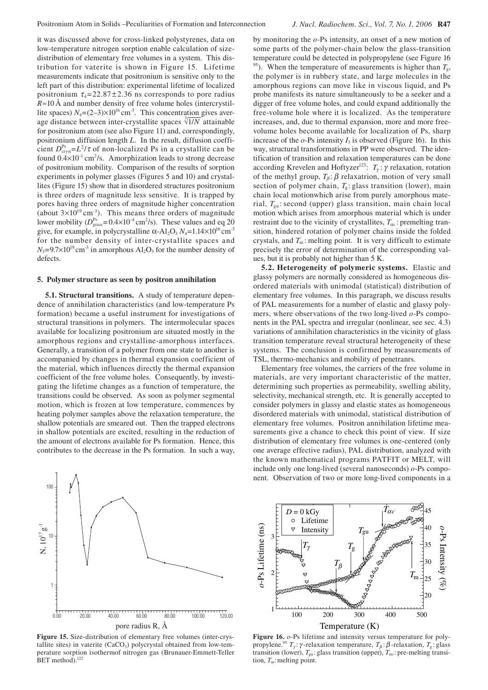it was discussed above for cross-linked polystyrenes, data on low-temperature nitrogen sorption enable calculation of sizedistribution of elementary free volumes in a system. This distribution for vaterite is shown in Figure 15. Lifetime measurements indicate that positronium is sensitive only to the left part of this distribution: experimental lifetime of localized positronium  $\tau_4 = 22.87 \pm 2.36$  ns corresponds to pore radius *R*≈10 Å and number density of free volume holes (intercrystillite spaces)  $N_4=(2-3)\times10^{16}$  cm<sup>-3</sup>. This concentration gives average distance between inter-crystallite spaces  $\sqrt[3]{1/N}$  attainable for positronium atom (see also Figure 11) and, correspondingly, positronium diffusion length *L*. In the result, diffusion coefficient  $D_{\text{cryst}}^{\text{Ps}} = L^2 / \tau$  of non-localized Ps in a crystallite can be found  $0.4 \times 10^{-1}$  cm<sup>2</sup>/s. Amorphization leads to strong decrease of positronium mobility. Comparison of the results of sorption experiments in polymer glasses (Figures 5 and 10) and crystallites (Figure 15) show that in disordered structures positronium is three orders of magnitude less sensitive. It is trapped by pores having three orders of magnitude higher concentration (about  $3\times10^{19}$  cm<sup>-3</sup>). This means three orders of magnitude lower mobility  $(D_{\text{grass}}^{\text{Ps}} = 0.4 \times 10^{-4} \text{ cm}^2/\text{s})$ . These values and eq 20 give, for example, in polycrystalline  $\alpha$ -Al<sub>2</sub>O<sub>3</sub>  $N_4$ =1.14×10<sup>16</sup> cm<sup>-3</sup> for the number density of inter-crystallite spaces and  $N_3=9.7\times10^{19}$  cm<sup>-3</sup> in amorphous Al<sub>2</sub>O<sub>3</sub> for the number density of defects.

### **5. Polymer structure as seen by positron annihilation**

**5.1. Structural transitions.** A study of temperature dependence of annihilation characteristics (and low-temperature Ps formation) became a useful instrument for investigations of structural transitions in polymers. The intermolecular spaces available for localizing positronium are situated mostly in the amorphous regions and crystalline-amorphous interfaces. Generally, a transition of a polymer from one state to another is accompanied by changes in thermal expansion coefficient of the material, which influences directly the thermal expansion coefficient of the free volume holes. Consequently, by investigating the lifetime changes as a function of temperature, the transitions could be observed. As soon as polymer segmental motion, which is frozen at low temperature, commences by heating polymer samples above the relaxation temperature, the shallow potentials are smeared out. Then the trapped electrons in shallow potentials are excited, resulting in the reduction of the amount of electrons available for Ps formation. Hence, this contributes to the decrease in the Ps formation. In such a way,



**Figure 15.** Size-distribution of elementary free volumes (inter-crystallite sites) in vaterite  $(CaCO<sub>3</sub>)$  polycrystal obtained from low-temperature sorption isothermof nitrogen gas (Brunauer-Emmett-Teller BET method).<sup>122</sup>

by monitoring the *o*-Ps intensity, an onset of a new motion of some parts of the polymer-chain below the glass-transition temperature could be detected in polypropylene (see Figure 16 <sup>95</sup>). When the temperature of measurements is higher than  $T_{\rm g}$ , the polymer is in rubbery state, and large molecules in the amorphous regions can move like in viscous liquid, and Ps probe manifests its nature simultaneously to be a seeker and a digger of free volume holes, and could expand additionally the free-volume hole where it is localized. As the temperature increases, and, due to thermal expansion, more and more freevolume holes become available for localization of Ps, sharp increase of the  $o$ -Ps intensity  $I_3$  is observed (Figure 16). In this way, structural transformations in PP were observed. The identification of transition and relaxation temperatures can be done according Krevelen and Hoftyzer<sup>123</sup>:  $T_{\gamma}$ :  $\gamma$  relaxation, rotation of the methyl group,  $T_\beta$ :  $\beta$  relaxatrion, motion of very small section of polymer chain,  $T<sub>g</sub>$ : glass transition (lower), main chain local motionwhich arise from purely amorphous material,  $T_{\text{su}}$ : second (upper) glass transition, main chain local motion which arises from amorphous material which is under restraint due to the vicinity of crystallites,  $T_{\alpha c}$ : premelting transition, hindered rotation of polymer chains inside the folded crystals, and  $T_m$ : melting point. It is very difficult to estimate precisely the error of determination of the corresponding values, but it is probably not higher than 5 K.

**5.2. Heterogeneity of polymeric systems.** Elastic and glassy polymers are normally considered as homogeneous disordered materials with unimodal (statistical) distribution of elementary free volumes. In this paragraph, we discuss results of PAL measurements for a number of elastic and glassy polymers, where observations of the two long-lived *o*-Ps components in the PAL spectra and irregular (nonlinear, see sec. 4.3) variations of annihilation characteristics in the vicinity of glass transition temperature reveal structural heterogeneity of these systems. The conclusion is confirmed by measurements of TSL, thermo-mechanics and mobility of penetranrs.

Elementary free volumes, the carriers of the free volume in materials, are very important characteristic of the matter, determining such properties as permeability, swelling ability, selectivity, mechanical strength, etc. It is generally accepted to consider polymers in glassy and elastic states as homogeneous disordered materials with unimodal, statistical distribution of elementary free volumes. Positron annihilation lifetime measurements give a chance to check this point of view. If size distribution of elementary free volumes is one-centered (only one average effective radius), PAL distribution, analyzed with the known mathematical programs PATFIT or MELT, will include only one long-lived (several nanoseconds) *o*-Ps component. Observation of two or more long-lived components in a



**Figure 16.** *o*-Ps lifetime and intensity versus temperature for polypropylene.<sup>95</sup> *T<sub>γ</sub>*: γ-relaxation temperature, *T<sub>β</sub>*: β-relaxation, *T<sub>g</sub>*: glass transition (lower),  $T_{gu}$ : glass transition (upper),  $T_{ac}$ : pre-melting transition,  $T_m$ : melting point.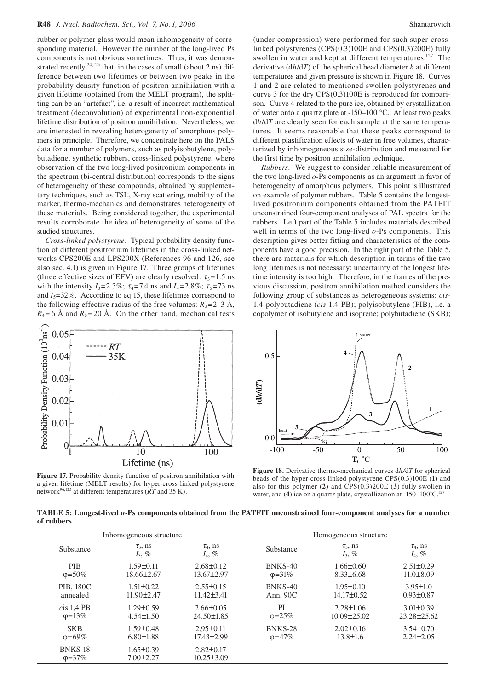rubber or polymer glass would mean inhomogeneity of corresponding material. However the number of the long-lived Ps components is not obvious sometimes. Thus, it was demonstrated recently<sup>124,125</sup> that, in the cases of small (about 2 ns) difference between two lifetimes or between two peaks in the probability density function of positron annihilation with a given lifetime (obtained from the MELT program), the splitting can be an "artefact", i.e. a result of incorrect mathematical treatment (deconvolution) of experimental non-exponential lifetime distribution of positron annihilation. Nevertheless, we are interested in revealing heterogeneity of amorphous polymers in principle. Therefore, we concentrate here on the PALS data for a number of polymers, such as polyisobutylene, polybutadiene, synthetic rubbers, cross-linked polystyrene, where observation of the two long-lived positronium components in the spectrum (bi-central distribution) corresponds to the signs of heterogeneity of these compounds, obtained by supplementary techniques, such as TSL, X-ray scattering, mobility of the marker, thermo-mechanics and demonstrates heterogeneity of these materials. Being considered together, the experimental results corroborate the idea of heterogeneity of some of the studied structures.

*Cross-linked polystyrene.* Typical probability density function of different positronium lifetimes in the cross-linked networks CPS200E and LPS200X (References 96 and 126, see also sec. 4.1) is given in Figure 17. Three groups of lifetimes (three effective sizes of EFV) are clearly resolved:  $\tau_3 = 1.5$  ns with the intensity  $I_3 = 2.3\%$ ;  $\tau_4 = 7.4$  ns and  $I_4 = 2.8\%$ ;  $\tau_5 = 73$  ns and  $I_5$ =32%. According to eq 15, these lifetimes correspond to the following effective radius of the free volumes:  $R_3 = 2-3$  Å,  $R_4$ = 6 Å and  $R_5$ = 20 Å. On the other hand, mechanical tests



**Figure 17.** Probability density function of positron annihilation with a given lifetime (MELT results) for hyper-cross-linked polystyrene network96,125 at different temperatures (*RT* and 35 K).

(under compression) were performed for such super-crosslinked polystyrenes (CPS(0.3)100E and CPS(0.3)200E) fully swollen in water and kept at different temperatures.<sup>127</sup> The derivative (d*h*/d*T*) of the spherical bead diameter *h* at different temperatures and given pressure is shown in Figure 18. Curves 1 and 2 are related to mentioned swollen polystyrenes and curve 3 for the dry CPS(0.3)100E is reproduced for comparison. Curve 4 related to the pure ice, obtained by crystallization of water onto a quartz plate at -150–100 °C. At least two peaks d*h*/d*T* are clearly seen for each sample at the same temperatures. It seems reasonable that these peaks correspond to different plastification effects of water in free volumes, characterized by inhomogeneous size-distribution and measured for the first time by positron annihilation technique.

*Rubbers.* We suggest to consider reliable measurement of the two long-lived *o-*Ps components as an argument in favor of heterogeneity of amorphous polymers. This point is illustrated on example of polymer rubbers. Table 5 contains the longestlived positronium components obtained from the PATFIT unconstrained four-component analyses of PAL spectra for the rubbers. Left part of the Table 5 includes materials described well in terms of the two long-lived *o*-Ps components. This description gives better fitting and characteristics of the components have a good precision. In the right part of the Table 5, there are materials for which description in terms of the two long lifetimes is not necessary: uncertainty of the longest lifetime intensity is too high. Therefore, in the frames of the previous discussion, positron annihilation method considers the following group of substances as heterogeneous systems: *cis-*1,4-polybutadiene (*cis*-1,4-PB); polyisobutylene (PIB), i.e. a copolymer of isobutylene and isoprene; polybutadiene (SKB);



**Figure 18.** Derivative thermo-mechanical curves d*h/*d*T* for spherical beads of the hyper-cross-linked polystyrene CPS(0.3)100E (**1**) and also for this polymer (**2**) and CPS(0.3)200E (**3**) fully swollen in water, and (4) ice on a quartz plate, crystallization at  $-150-100^{\circ}$ C.<sup>127</sup>

**TABLE 5: Longest-lived** *o***-Ps components obtained from the PATFIT unconstrained four-component analyses for a number of rubbers**

| Inhomogeneous structure  |                                    |                                     | Homogeneous structure |                            |                            |
|--------------------------|------------------------------------|-------------------------------------|-----------------------|----------------------------|----------------------------|
| Substance                | $\tau_3$ , ns<br>$I_3$ , %         | $\tau_4$ , ns<br>$I_4, \%$          | Substance             | $\tau_3$ , ns<br>$I_3$ , % | $\tau_4$ , ns<br>$I_4, \%$ |
| <b>PIB</b>               | $1.59 \pm 0.11$                    | $2.68 \pm 0.12$                     | BNKS-40               | $1.66 \pm 0.60$            | $2.51 \pm 0.29$            |
| $\varphi = 50\%$         | $18.66\pm2.67$                     | $13.67 \pm 2.97$                    | $\phi = 31\%$         | $8.33\pm 6.68$             | $11.0\pm8.09$              |
| <b>PIB, 180C</b>         | $1.51 \pm 0.22$                    | $2.55\pm0.15$                       | BNKS-40               | $1.95 \pm 0.10$            | $3.95 \pm 1.0$             |
| annealed                 | $11.90 \pm 2.47$                   | $11.42 \pm 3.41$                    | Ann. $90C$            | $14.17\pm0.52$             | $0.93 \pm 0.87$            |
| cis 1.4 PB               | $1.29 \pm 0.59$                    | $2.66\pm0.05$                       | PI                    | $2.28 \pm 1.06$            | $3.01 \pm 0.39$            |
| $\phi = 13\%$            | $4.54 \pm 1.50$                    | $24.50 \pm 1.85$                    | $\varphi = 25\%$      | $10.09 \pm 25.02$          | $23.28 \pm 25.62$          |
| <b>SKB</b>               | $1.59 \pm 0.48$                    | $2.95 \pm 0.11$                     | BNKS-28               | $2.02\pm0.16$              | $3.54 \pm 0.70$            |
| $\phi = 69\%$            | $6.80 \pm 1.88$                    | $17.43 \pm 2.99$                    | $\varphi = 47\%$      | $13.8 \pm 1.6$             | $2.24 \pm 2.05$            |
| BNKS-18<br>$\phi = 37\%$ | $1.65 \pm 0.39$<br>$7.00 \pm 2.27$ | $2.82 \pm 0.17$<br>$10.25 \pm 3.09$ |                       |                            |                            |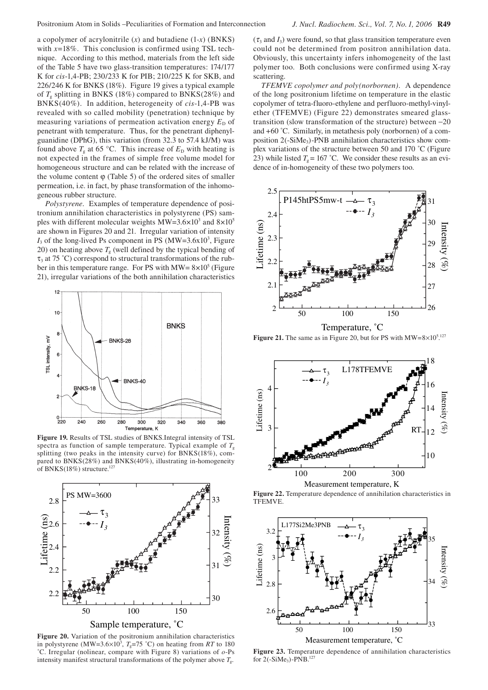a copolymer of acrylonitrile (*x*) and butadiene (1-*x*) (BNKS) with  $x=18\%$ . This conclusion is confirmed using TSL technique. According to this method, materials from the left side of the Table 5 have two glass-transition temperatures: 174/177 K for *cis*-1,4-PB; 230/233 K for PIB; 210/225 K for SKB, and 226/246 K for BNKS (18%). Figure 19 gives a typical example of  $T<sub>g</sub>$  splitting in BNKS (18%) compared to BNKS(28%) and BNKS(40%). In addition, heterogeneity of *cis*-1,4-PB was revealed with so called mobility (penetration) technique by measuring variations of permeation activation energy  $E<sub>D</sub>$  of penetrant with temperature. Thus, for the penetrant diphenylguanidine (DPhG), this variation (from 32.3 to 57.4 kJ/M) was found above  $T_g$  at 65 °C. This increase of  $E_D$  with heating is not expected in the frames of simple free volume model for homogeneous structure and can be related with the increase of the volume content  $\varphi$  (Table 5) of the ordered sites of smaller permeation, i.e. in fact, by phase transformation of the inhomogeneous rubber structure.

*Polystyrene.* Examples of temperature dependence of positronium annihilation characteristics in polystyrene (PS) samples with different molecular weights  $MW=3.6\times10^3$  and  $8\times10^5$ are shown in Figures 20 and 21. Irregular variation of intensity  $I_3$  of the long-lived Ps component in PS (MW=3.6x10<sup>3</sup>, Figure 20) on heating above  $T_g$  (well defined by the typical bending of  $\tau_3$  at 75 °C) correspond to structural transformations of the rubber in this temperature range. For PS with  $MW = 8 \times 10^5$  (Figure 21), irregular variations of the both annihilation characteristics



**Figure 19.** Results of TSL studies of BNKS.Integral intensity of TSL spectra as function of sample temperature. Typical example of  $T<sub>g</sub>$ splitting (two peaks in the intensity curve) for BNKS(18%), compared to BNKS(28%) and BNKS(40%), illustrating in-homogeneity of BNKS(18%) structure.<sup>127</sup>



**Figure 20.** Variation of the positronium annihilation characteristics in polystyrene (MW=3.6×10<sup>3</sup>,  $T_g$ =75 °C) on heating from *RT* to 180 ˚C. Irregular (nolinear, compare with Figure 8) variations of *o*-Ps intensity manifest structural transformations of the polymer above  $T<sub>g</sub>$ .

 $(\tau_3$  and  $I_3$ ) were found, so that glass transition temperature even could not be determined from positron annihilation data. Obviously, this uncertainty infers inhomogeneity of the last polymer too. Both conclusions were confirmed using X-ray scattering.

*TFEMVE copolymer and poly(norbornen).* A dependence of the long positronium lifetime on temperature in the elastic copolymer of tetra-fluoro-ethylene and perfluoro-methyl-vinylether (TFEMVE) (Figure 22) demonstrates smeared glasstransition (slow transformation of the structure) between −20 and +60 ˚C. Similarly, in metathesis poly (norbornen) of a composition  $2(-\text{SiMe}_3)$ -PNB annihilation characteristics show complex variations of the structure between 50 and 170 ˚C (Figure 23) while listed  $T<sub>g</sub> = 167$  °C. We consider these results as an evidence of in-homogeneity of these two polymers too.



**Figure 21.** The same as in Figure 20, but for PS with  $MW=8\times10^{5.127}$ 



**Figure 22.** Temperature dependence of annihilation characteristics in TFEMVE.



**Figure 23.** Temperature dependence of annihilation characteristics for  $2(-SiMe_3)$ -PNB.<sup>127</sup>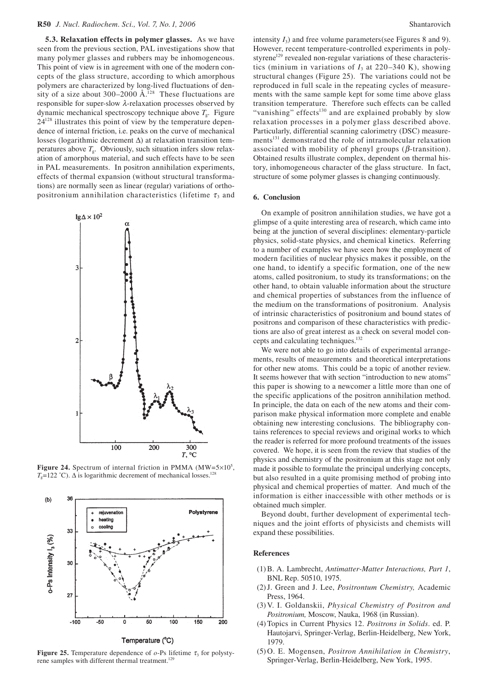**5.3. Relaxation effects in polymer glasses.** As we have seen from the previous section, PAL investigations show that many polymer glasses and rubbers may be inhomogeneous. This point of view is in agreement with one of the modern concepts of the glass structure, according to which amorphous polymers are characterized by long-lived fluctuations of density of a size about 300–2000  $\AA$ <sup>128</sup> These fluctuations are responsible for super-slow λ-relaxation processes observed by dynamic mechanical spectroscopy technique above  $T<sub>g</sub>$ . Figure  $24^{128}$  illustrates this point of view by the temperature dependence of internal friction, i.e. peaks on the curve of mechanical losses (logarithmic decrement ∆) at relaxation transition temperatures above  $T<sub>g</sub>$ . Obviously, such situation infers slow relaxation of amorphous material, and such effects have to be seen in PAL measurements. In positron annihilation experiments, effects of thermal expansion (without structural transformations) are normally seen as linear (regular) variations of orthopositronium annihilation characteristics (lifetime  $\tau_3$  and



**Figure 24.** Spectrum of internal friction in PMMA  $(MW=5\times10^5)$ ,  $T_g$ =122 °C).  $\Delta$  is logarithmic decrement of mechanical losses.<sup>128</sup>



Temperature (°C)

**Figure 25.** Temperature dependence of  $o$ -Ps lifetime  $\tau_3$  for polystyrene samples with different thermal treatment.<sup>129</sup>

intensity *I*3) and free volume parameters(see Figures 8 and 9). However, recent temperature-controlled experiments in polystyrene<sup>129</sup> revealed non-regular variations of these characteristics (minium in variations of  $I_3$  at 220–340 K), showing structural changes (Figure 25). The variations could not be reproduced in full scale in the repeating cycles of measurements with the same sample kept for some time above glass transition temperature. Therefore such effects can be called "vanishing" effects $^{130}$  and are explained probably by slow relaxation processes in a polymer glass described above. Particularly, differential scanning calorimetry (DSC) measurements<sup>131</sup> demonstrated the role of intramolecular relaxation associated with mobility of phenyl groups ( $\beta$ -transition). Obtained results illustrate complex, dependent on thermal history, inhomogeneous character of the glass structure. In fact, structure of some polymer glasses is changing continuously.

#### **6. Conclusion**

On example of positron annihilation studies, we have got a glimpse of a quite interesting area of research, which came into being at the junction of several disciplines: elementary-particle physics, solid-state physics, and chemical kinetics. Referring to a number of examples we have seen how the employment of modern facilities of nuclear physics makes it possible, on the one hand, to identify a specific formation, one of the new atoms, called positronium, to study its transformations; on the other hand, to obtain valuable information about the structure and chemical properties of substances from the influence of the medium on the transformations of positronium. Analysis of intrinsic characteristics of positronium and bound states of positrons and comparison of these characteristics with predictions are also of great interest as a check on several model concepts and calculating techniques.132

We were not able to go into details of experimental arrangements, results of measurements and theoretical interpretations for other new atoms. This could be a topic of another review. It seems however that with section "introduction to new atoms" this paper is showing to a newcomer a little more than one of the specific applications of the positron annihilation method. In principle, the data on each of the new atoms and their comparison make physical information more complete and enable obtaining new interesting conclusions. The bibliography contains references to special reviews and original works to which the reader is referred for more profound treatments of the issues covered. We hope, it is seen from the review that studies of the physics and chemistry of the positronium at this stage not only made it possible to formulate the principal underlying concepts, but also resulted in a quite promising method of probing into physical and chemical properties of matter. And much of the information is either inaccessible with other methods or is obtained much simpler.

Beyond doubt, further development of experimental techniques and the joint efforts of physicists and chemists will expand these possibilities.

#### **References**

- (1) B. A. Lambrecht, *Antimatter-Matter Interactions, Part 1*, BNL Rep. 50510, 1975.
- (2) J. Green and J. Lee, *Positrontum Chemistry,* Academic Press, 1964.
- (3) V. I. Goldanskii, *Physical Chemistry of Positron and Positronium,* Moscow, Nauka, 1968 (in Russian).
- (4) Topics in Current Physics 12. *Positrons in Solids*. ed. P. Hautojarvi, Springer-Verlag, Berlin-Heidelberg, New York, 1979.
- (5) O. E. Mogensen, *Positron Annihilation in Chemistry*, Springer-Verlag, Berlin-Heidelberg, New York, 1995.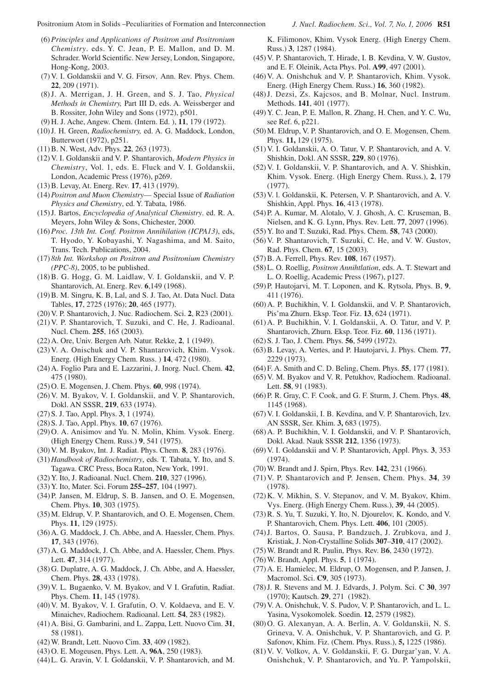- (6) *Principles and Applications of Positron and Positronium Chemistry*. eds. Y. C. Jean, P. E. Mallon, and D. M. Schrader. World Scientific. New Jersey, London, Singapore, Hong-Kong, 2003.
- (7) V. I. Goldanskii and V. G. Firsov*,* Ann. Rev. Phys. Chem. **22**, 209 (1971).
- (8) J. A. Merrigan, J. H. Green, and S. J. Tao, *Physical Methods in Chemistry,* Part III D, eds. A. Weissberger and B. Rossiter, John Wiley and Sons (1972), p501.
- (9) H. J. Ache, Angew. Chem. (Intern. Ed. ), **11**, 179 (1972).
- (10)J. H. Green, *Radiochemistry,* ed. A. G. Maddock, London, Butterwort (1972), p251.
- (11) B. N. West, Adv. Phys. **22**, 263 (1973).
- (12) V. I. Goldanskii and V. P*.* Shantarovich, *Modern Physics in Chemistry*, Vol. 1, eds. E. Fluck and V. I. Goldanskii, London, Academic Press (1976), p269.
- (13) B. Levay, At. Energ. Rev. **17**, 413 (1979).
- (14) *Positron and Muon Chemistry* Special Issue of *Radiation Physics and Chemistry*, ed. Y. Tabata, 1986.
- (15) J. Bartos, *Encyclopedia of Analytical Chemistry*. ed. R. A. Meyers, John Wiley & Sons, Chichester, 2000.
- (16) *Proc. 13th Int. Conf. Positron Annihilation (ICPA13)*, eds, T. Hyodo, Y. Kobayashi, Y. Nagashima, and M. Saito, Trans. Tech. Publications, 2004.
- (17) *8th Int. Workshop on Positron and Positronium Chemistry (PPC-8)*, 2005, to be published.
- (18) B. G. Hogg, G. M. Laidlaw, V. I. Goldanskii, and V. P. Shantarovich, At. Energ. Rev. **6**,149 (1968).
- (19) B. M. Singru, K. B, Lal, and S. J. Tao, At. Data Nucl. Data Tables, **17**, 2725 (1976); **20**, 465 (1977).
- (20) V. P. Shantarovich, J. Nuc. Radiochem. Sci. **2**, R23 (2001).
- (21) V. P. Shantarovich, T. Suzuki, and C. He, J. Radioanal. Nucl. Chem. **255**, 165 (2003).
- (22) A. Ore, Univ. Bergen Arb. Natur. Rekke, **2**, 1 (1949).
- (23) V. A. Onischuk and V. P. Shantarovich, Khim. Vysok. Energ. (High Energy Chem. Russ. ) **14**, 472 (1980).
- (24) A. Foglio Para and E. Lazzarini, J. Inorg. Nucl. Chem. **42**, 475 (1980).
- (25) O. E. Mogensen, J. Chem. Phys. **60**, 998 (1974).
- (26) V. M. Byakov, V. I. Goldanskii, and V. P. Shantarovich, Dokl. AN SSSR, **219**, 633 (1974).
- (27) S. J. Tao, Appl. Phys. **3**, 1 (1974).
- (28) S. J. Tao, Appl. Phys. **10**, 67 (1976).
- (29) O. A. Anisimov and Yu. N. Molin, Khim. Vysok. Energ. (High Energy Chem. Russ.) **9**, 541 (1975).
- (30) V. M. Byakov, Int. J. Radiat. Phys. Chem. **8**, 283 (1976).
- (31) *Handbook of Radiochemistry*, eds. T. Tabata, Y. Ito, and S. Tagawa. CRC Press, Boca Raton, New York, 1991.
- (32) Y. Ito, J. Radioanal. Nucl. Chem. **210**, 327 (1996).
- (33) Y. Ito, Mater. Sci. Forum **255–257**, 104 (1997).
- (34) P. Jansen, M. Eldrup, S. B. Jansen, and O. E. Mogensen, Chem. Phys. **10**, 303 (1975).
- (35) M. Eldrup, V. P. Shantarovich, and O. E. Mogensen, Chem. Phys. **11**, 129 (1975).
- (36) A. G. Maddock, J. Ch. Abbe, and A. Haessler, Chem. Phys. **17**, 343 (1976).
- (37) A. G. Maddock, J. Ch. Abbe, and A. Haessler, Chem. Phys. Lett. **47**, 314 (1977).
- (38) G. Duplatre, A. G. Maddock, J. Ch. Abbe, and A. Haessler, Chem. Phys. **28**, 433 (1978).
- (39) V. L. Bugaenko, V. M. Byakov, and V I. Grafutin, Radiat. Phys. Chem. **11**, 145 (1978).
- (40) V. M. Byakov, V. I. Grafutin, O. V. Koldaeva, and E. V. Minaichev, Radiochem. Radioanal. Lett. **54**, 283 (1982).
- (41) A. Bisi, G. Gambarini, and L. Zappa, Lett. Nuovo Cim. **31**, 58 (1981).
- (42) W. Brandt, Lett. Nuovo Cim. **33**, 409 (1982).
- (43) O. E. Mogeusen, Phys. Lett. A, **96A**, 250 (1983).
- (44) L. G. Aravin, V. I. Goldanskii, V. P. Shantarovich, and M.

K. Filimonov, Khim. Vysok Energ. (High Energy Chem. Russ.) **3**, 1287 (1984).

- (45) V. P. Shantarovich, T. Hirade, I. B. Kevdina, V. W. Gustov, and E. F. Oleinik, Acta Phys. Pol. **A99**, 497 (2001).
- (46) V. A. Onishchuk and V. P. Shantarovich, Khim. Vysok. Energ. (High Energy Chem. Russ.) **16**, 360 (1982).
- (48) J. Dezsi, Zs. Kajcsos, and B. Molnar, Nucl. Instrum. Methods. **141**, 401 (1977).
- (49) Y. C. Jean, P. E. Mallon, R. Zhang, H. Chen, and Y. C. Wu, see Ref. 6, p221.
- (50) M. Eldrup, V. P. Shantarovich, and O. E. Mogensen, Chem. Phys. **11,** 129 (1975).
- (51) V. I. Goldanskii, A. O. Tatur, V. P. Shantarovich, and A. V. Shishkin, Dokl. AN SSSR, **229**, 80 (1976).
- (52) V. I. Goldanskii, V. P. Shantarovich, and A. V. Shishkin, Khim. Vysok. Energ. (High Energy Chem. Russ.), **2**, 179 (1977).
- (53) V. l. Goldanskii, K. Petersen, V. P. Shantarovich, and A. V. Shishkin, Appl. Phys. **16**, 413 (1978).
- (54) P. A. Kumar, M. Alotalo, V. J. Ghosh, A. C. Kruseman, B. Nielsen, and K. G. Lynn, Phys. Rev. Lett. **77**, 2097 (1996).
- (55) Y. Ito and T. Suzuki, Rad. Phys. Chem. **58**, 743 (2000).
- (56) V. P. Shantarovich, T. Suzuki, C. He, and V. W. Gustov, Rad. Phys. Chem. **67**, 15 (2003).
- (57) B. A. Ferrell, Phys. Rev. **108**, 167 (1957).
- (58) L. O. Roellig, *Positron Annihtlation*, eds. A. T. Stewart and L. O. Roellig, Academic Press (1967), p127.
- (59) P. Hautojarvi, M. T. Loponen, and K. Rytsola, Phys. B, **9**, 411 (1976).
- (60) A. P. Buchikhin, V. I. Goldanskii, and V. P. Shantarovich, Pis'ma Zhurn. Eksp. Teor. Fiz. **13**, 624 (1971).
- (61) A. P. Buchikhin, V. I. Goldanskii, A. O. Tatur, and V. P. Shantarovich, Zhurn. Eksp. Teor. Fiz. **60**, 1136 (1971).
- (62) S. J. Tao, J. Chem. Phys. **56**, 5499 (1972).
- (63) B. Levay, A. Vertes, and P. Hautojarvi, J. Phys. Chem. **77**, 2229 (1973).
- (64) F. A. Smith and C. D. Beling, Chem. Phys. **55**, 177 (1981).
- (65) V. M. Byakov and V. R. Petukhov, Radiochem. Radioanal. Lett. **58**, 91 (1983).
- (66) P. R. Gray, C. F. Cook, and G. F. Sturm, J. Chem. Phys. **48**, 1145 (1968).
- (67) V. I. Goldanskii, I. B. Kevdina, and V. P. Shantarovich, Izv. AN SSSR, Ser. Khim. **3,** 683 (1975).
- (68) A. P. Buchikhin, V. I. Goldanskii, and V. P. Shantarovich, Dokl. Akad. Nauk SSSR **212**, 1356 (1973).
- (69) V. I. Goldanskii and V. P. Shantarovich, Appl. Phys. **3**, 353 (1974).
- (70) W. Brandt and J. Spirn, Phys. Rev. **142**, 231 (1966).
- (71) V. P. Shantarovich and P. Jensen, Chem. Phys. **34**, 39 (1978).
- (72) K. V. Mikhin, S. V. Stepanov, and V. M. Byakov, Khim. Vys. Energ. (High Energy Chem. Russ.), **39**, 44 (2005).
- (73) R. S. Yu, T. Suzuki, Y. Ito, N. Djourelov, K. Kondo, and V. P. Shantarovich, Chem. Phys. Lett. **406**, 101 (2005).
- (74) J. Bartos, O. Sausa, P. Bandzuch, J. Zrubkova, and J. Kristiak, J. Non-Crystalline Solids **307**–**310**, 417 (2002).
- (75) W. Brandt and R. Paulin, Phys. Rev. B**6**, 2430 (1972).
- (76) W. Brandt, Appl. Phys. **5**, 1 (1974).
- (77) A. E. Hamielec, M. Eldrup, O. Mogensen, and P. Jansen, J. Macromol. Sci. **C9**, 305 (1973).
- (78) J. R. Stevens and M. J. Edvards, J. Polym. Sci. C **30**, 397 (1970); Kautsch. **29**, 271 (1982).
- (79) V. A. Onishchuk, V. S. Pudov, V. P. Shantarovich, and L. L. Yasina, Vysokomolek. Soedin. **12**, 2579 (1982).
- (80) O. G. Alexanyan, A. A. Berlin, A. V. Goldanskii, N. S. Grineva, V. A. Onishchuk, V. P. Shantarovich, and G. P. Safonov, Khim. Fiz. (Chem. Phys. Russ.), **5,** 1225 (1986).
- (81) V. V. Volkov, A. V. Goldanskii, F. G. Durgar'yan, V. A. Onishchuk, V. P. Shantarovich, and Yu. P. Yampolskii,